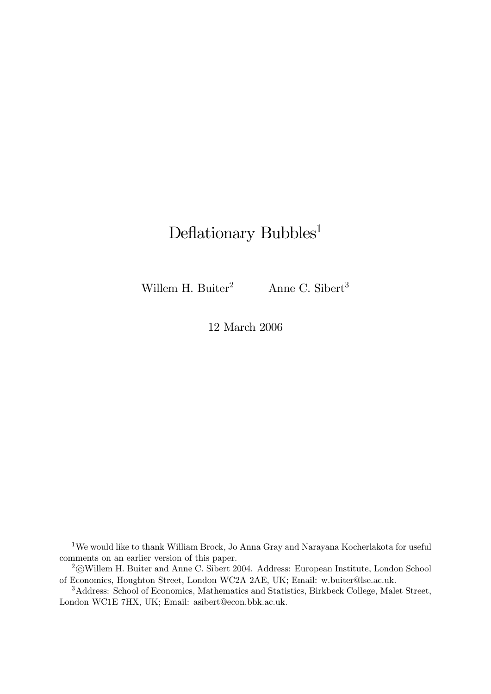# Deflationary Bubbles<sup>1</sup>

Willem H. Buiter<sup>2</sup> Anne C. Sibert<sup>3</sup>

12 March 2006

<sup>1</sup>We would like to thank William Brock, Jo Anna Gray and Narayana Kocherlakota for useful comments on an earlier version of this paper.

<sup>2</sup>©Willem H. Buiter and Anne C. Sibert 2004. Address: European Institute, London School of Economics, Houghton Street, London WC2A 2AE, UK; Email: w.buiter@lse.ac.uk.

<sup>3</sup>Address: School of Economics, Mathematics and Statistics, Birkbeck College, Malet Street, London WC1E 7HX, UK; Email: asibert@econ.bbk.ac.uk.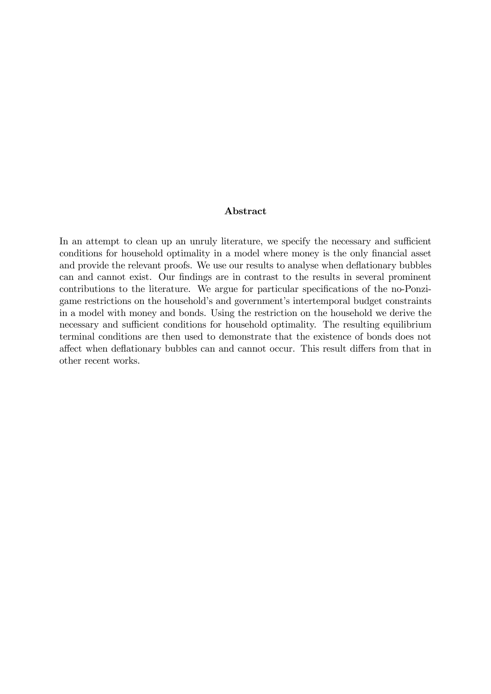### Abstract

In an attempt to clean up an unruly literature, we specify the necessary and sufficient conditions for household optimality in a model where money is the only financial asset and provide the relevant proofs. We use our results to analyse when deflationary bubbles can and cannot exist. Our findings are in contrast to the results in several prominent contributions to the literature. We argue for particular specifications of the no-Ponzigame restrictions on the household's and government's intertemporal budget constraints in a model with money and bonds. Using the restriction on the household we derive the necessary and sufficient conditions for household optimality. The resulting equilibrium terminal conditions are then used to demonstrate that the existence of bonds does not affect when deflationary bubbles can and cannot occur. This result differs from that in other recent works.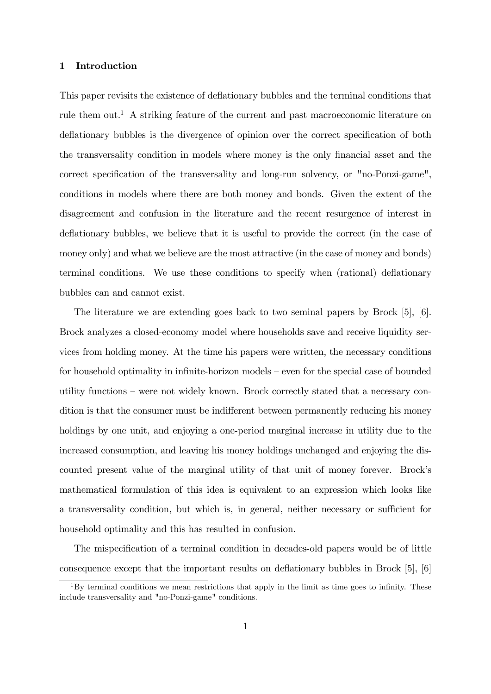### 1 Introduction

This paper revisits the existence of deáationary bubbles and the terminal conditions that rule them out.<sup>1</sup> A striking feature of the current and past macroeconomic literature on deflationary bubbles is the divergence of opinion over the correct specification of both the transversality condition in models where money is the only Önancial asset and the correct specification of the transversality and long-run solvency, or "no-Ponzi-game", conditions in models where there are both money and bonds. Given the extent of the disagreement and confusion in the literature and the recent resurgence of interest in deflationary bubbles, we believe that it is useful to provide the correct (in the case of money only) and what we believe are the most attractive (in the case of money and bonds) terminal conditions. We use these conditions to specify when (rational) deflationary bubbles can and cannot exist.

The literature we are extending goes back to two seminal papers by Brock [5], [6]. Brock analyzes a closed-economy model where households save and receive liquidity services from holding money. At the time his papers were written, the necessary conditions for household optimality in infinite-horizon models  $-\overline{}$  even for the special case of bounded utility functions  $-$  were not widely known. Brock correctly stated that a necessary condition is that the consumer must be indifferent between permanently reducing his money holdings by one unit, and enjoying a one-period marginal increase in utility due to the increased consumption, and leaving his money holdings unchanged and enjoying the discounted present value of the marginal utility of that unit of money forever. Brock's mathematical formulation of this idea is equivalent to an expression which looks like a transversality condition, but which is, in general, neither necessary or sufficient for household optimality and this has resulted in confusion.

The mispecification of a terminal condition in decades-old papers would be of little consequence except that the important results on deflationary bubbles in Brock [5], [6]

 ${}^{1}$ By terminal conditions we mean restrictions that apply in the limit as time goes to infinity. These include transversality and "no-Ponzi-game" conditions.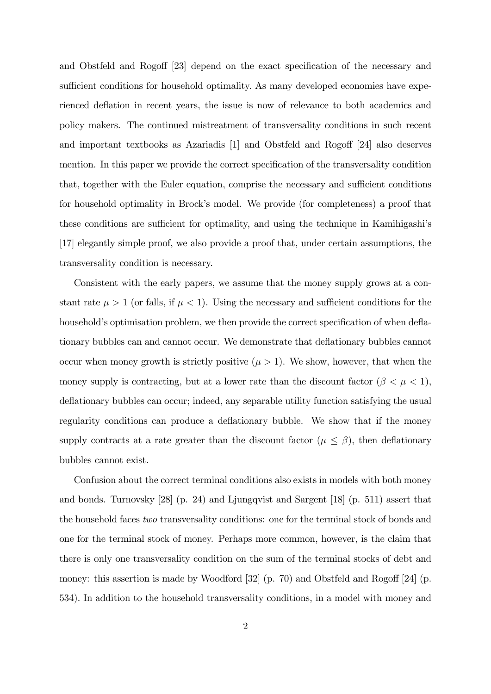and Obstfeld and Rogoff [23] depend on the exact specification of the necessary and sufficient conditions for household optimality. As many developed economies have experienced deflation in recent years, the issue is now of relevance to both academics and policy makers. The continued mistreatment of transversality conditions in such recent and important textbooks as Azariadis  $[1]$  and Obstfeld and Rogoff  $[24]$  also deserves mention. In this paper we provide the correct specification of the transversality condition that, together with the Euler equation, comprise the necessary and sufficient conditions for household optimality in Brock's model. We provide (for completeness) a proof that these conditions are sufficient for optimality, and using the technique in Kamihigashi's [17] elegantly simple proof, we also provide a proof that, under certain assumptions, the transversality condition is necessary.

Consistent with the early papers, we assume that the money supply grows at a constant rate  $\mu > 1$  (or falls, if  $\mu < 1$ ). Using the necessary and sufficient conditions for the household's optimisation problem, we then provide the correct specification of when deflationary bubbles can and cannot occur. We demonstrate that deflationary bubbles cannot occur when money growth is strictly positive  $(\mu > 1)$ . We show, however, that when the money supply is contracting, but at a lower rate than the discount factor  $(\beta < \mu < 1)$ , deflationary bubbles can occur; indeed, any separable utility function satisfying the usual regularity conditions can produce a deflationary bubble. We show that if the money supply contracts at a rate greater than the discount factor  $(\mu \leq \beta)$ , then deflationary bubbles cannot exist.

Confusion about the correct terminal conditions also exists in models with both money and bonds. Turnovsky [28] (p. 24) and Ljungqvist and Sargent [18] (p. 511) assert that the household faces two transversality conditions: one for the terminal stock of bonds and one for the terminal stock of money. Perhaps more common, however, is the claim that there is only one transversality condition on the sum of the terminal stocks of debt and money: this assertion is made by Woodford  $[32]$  (p. 70) and Obstfeld and Rogoff  $[24]$  (p. 534). In addition to the household transversality conditions, in a model with money and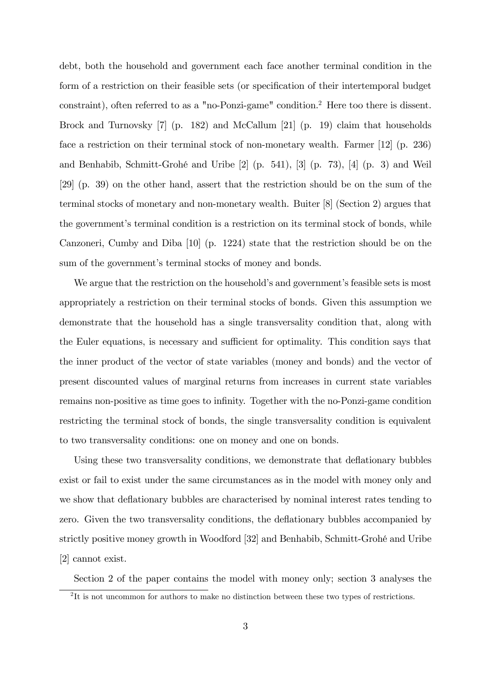debt, both the household and government each face another terminal condition in the form of a restriction on their feasible sets (or specification of their intertemporal budget constraint), often referred to as a "no-Ponzi-game" condition.<sup>2</sup> Here too there is dissent. Brock and Turnovsky [7] (p. 182) and McCallum [21] (p. 19) claim that households face a restriction on their terminal stock of non-monetary wealth. Farmer [12] (p. 236) and Benhabib, Schmitt-Grohé and Uribe  $[2]$  (p. 541),  $[3]$  (p. 73),  $[4]$  (p. 3) and Weil [29] (p. 39) on the other hand, assert that the restriction should be on the sum of the terminal stocks of monetary and non-monetary wealth. Buiter [8] (Section 2) argues that the government's terminal condition is a restriction on its terminal stock of bonds, while Canzoneri, Cumby and Diba [10] (p. 1224) state that the restriction should be on the sum of the government's terminal stocks of money and bonds.

We argue that the restriction on the household's and government's feasible sets is most appropriately a restriction on their terminal stocks of bonds. Given this assumption we demonstrate that the household has a single transversality condition that, along with the Euler equations, is necessary and sufficient for optimality. This condition says that the inner product of the vector of state variables (money and bonds) and the vector of present discounted values of marginal returns from increases in current state variables remains non-positive as time goes to infinity. Together with the no-Ponzi-game condition restricting the terminal stock of bonds, the single transversality condition is equivalent to two transversality conditions: one on money and one on bonds.

Using these two transversality conditions, we demonstrate that deflationary bubbles exist or fail to exist under the same circumstances as in the model with money only and we show that deflationary bubbles are characterised by nominal interest rates tending to zero. Given the two transversality conditions, the deáationary bubbles accompanied by strictly positive money growth in Woodford [32] and Benhabib, Schmitt-GrohÈ and Uribe [2] cannot exist.

Section 2 of the paper contains the model with money only; section 3 analyses the

<sup>&</sup>lt;sup>2</sup>It is not uncommon for authors to make no distinction between these two types of restrictions.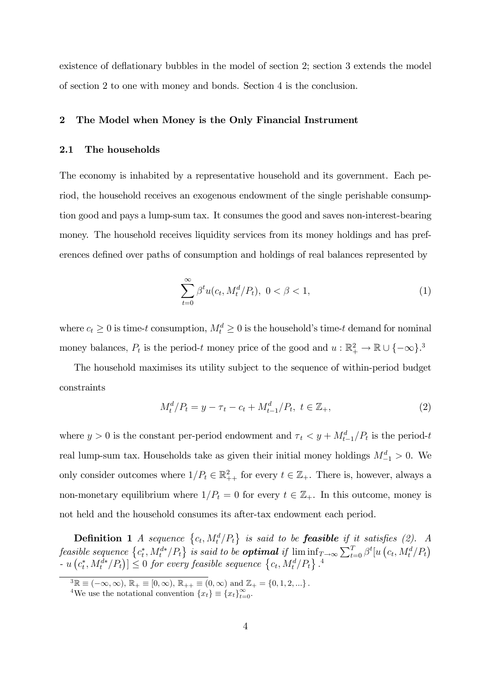existence of deflationary bubbles in the model of section 2; section 3 extends the model of section 2 to one with money and bonds. Section 4 is the conclusion.

## 2 The Model when Money is the Only Financial Instrument

### 2.1 The households

The economy is inhabited by a representative household and its government. Each period, the household receives an exogenous endowment of the single perishable consumption good and pays a lump-sum tax. It consumes the good and saves non-interest-bearing money. The household receives liquidity services from its money holdings and has preferences defined over paths of consumption and holdings of real balances represented by

$$
\sum_{t=0}^{\infty} \beta^t u(c_t, M_t^d / P_t), \ 0 < \beta < 1,\tag{1}
$$

where  $c_t \geq 0$  is time-t consumption,  $M_t^d \geq 0$  is the household's time-t demand for nominal money balances,  $P_t$  is the period-t money price of the good and  $u : \mathbb{R}^2_+ \to \mathbb{R} \cup \{-\infty\}$ .

The household maximises its utility subject to the sequence of within-period budget constraints

$$
M_t^d/P_t = y - \tau_t - c_t + M_{t-1}^d/P_t, \ t \in \mathbb{Z}_+, \tag{2}
$$

where  $y > 0$  is the constant per-period endowment and  $\tau_t < y + M_{t-1}^d/P_t$  is the period-t real lump-sum tax. Households take as given their initial money holdings  $M_{-1}^d > 0$ . We only consider outcomes where  $1/P_t \in \mathbb{R}^2_{++}$  for every  $t \in \mathbb{Z}_+$ . There is, however, always a non-monetary equilibrium where  $1/P_t = 0$  for every  $t \in \mathbb{Z}_+$ . In this outcome, money is not held and the household consumes its after-tax endowment each period.

**Definition 1** A sequence  $\{c_t, M_t^d/P_t\}$  is said to be **feasible** if it satisfies (2). A feasible sequence  $\{c_t^*, M_t^{d*}/P_t\}$  is said to be **optimal** if  $\liminf_{T\to\infty} \sum_{t=0}^T \beta^t[u\left(c_t, M_t^{d}/P_t\right)]$ -  $u(c_t^*, M_t^{d*}/P_t)] \leq 0$  for every feasible sequence  $\{c_t, M_t^d/P_t\}$ .

 ${}^{3}\mathbb{R} \equiv (-\infty,\infty), \mathbb{R}_{+} \equiv [0,\infty), \mathbb{R}_{++} \equiv (0,\infty) \text{ and } \mathbb{Z}_{+} = \{0,1,2,...\}$ .

<sup>&</sup>lt;sup>4</sup>We use the notational convention  $\{x_t\} \equiv \{x_t\}_{t=0}^{\infty}$ .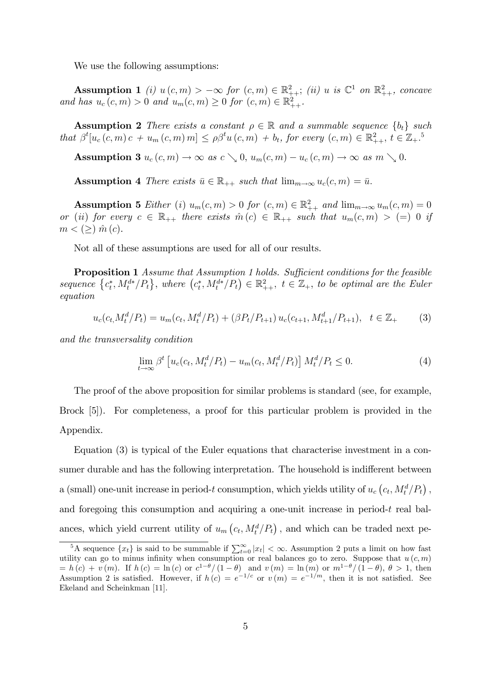We use the following assumptions:

**Assumption 1** (i)  $u(c, m) > -\infty$  for  $(c, m) \in \mathbb{R}^2_{++}$ ; (ii) u is  $\mathbb{C}^1$  on  $\mathbb{R}^2_{++}$ , concave and has  $u_c(c, m) > 0$  and  $u_m(c, m) \ge 0$  for  $(c, m) \in \mathbb{R}^2_{++}$ .

**Assumption 2** There exists a constant  $\rho \in \mathbb{R}$  and a summable sequence  $\{b_t\}$  such that  $\beta^{t}[u_c(c, m) c + u_m(c, m) m] \leq \rho \beta^{t} u(c, m) + b_t$ , for every  $(c, m) \in \mathbb{R}^2_{++}, t \in \mathbb{Z}_{+}$ .<sup>5</sup>

Assumption 3  $u_c(c, m) \to \infty$  as  $c \searrow 0$ ,  $u_m(c, m) - u_c(c, m) \to \infty$  as  $m \searrow 0$ .

**Assumption 4** There exists  $\bar{u} \in \mathbb{R}_{++}$  such that  $\lim_{m \to \infty} u_c(c, m) = \bar{u}$ .

Assumption 5 Either (i)  $u_m(c, m) > 0$  for  $(c, m) \in \mathbb{R}^2_{++}$  and  $\lim_{m\to\infty} u_m(c, m) = 0$ or (ii) for every  $c \in \mathbb{R}_{++}$  there exists  $\hat{m} (c) \in \mathbb{R}_{++}$  such that  $u_m(c, m) > (=) 0$  if  $m < (\geq)$   $\hat{m} (c)$ .

Not all of these assumptions are used for all of our results.

**Proposition 1** Assume that Assumption 1 holds. Sufficient conditions for the feasible sequence  $\{c_t^*, M_t^{d*}/P_t\}$ , where  $(c_t^*, M_t^{d*}/P_t) \in \mathbb{R}_{++}^2$ ,  $t \in \mathbb{Z}_+$ , to be optimal are the Euler equation

$$
u_c(c_t, M_t^d/P_t) = u_m(c_t, M_t^d/P_t) + (\beta P_t/P_{t+1}) u_c(c_{t+1}, M_{t+1}^d/P_{t+1}), \quad t \in \mathbb{Z}_+ \tag{3}
$$

and the transversality condition

$$
\lim_{t \to \infty} \beta^t \left[ u_c(c_t, M_t^d / P_t) - u_m(c_t, M_t^d / P_t) \right] M_t^d / P_t \le 0.
$$
\n
$$
(4)
$$

The proof of the above proposition for similar problems is standard (see, for example, Brock [5]). For completeness, a proof for this particular problem is provided in the Appendix.

Equation (3) is typical of the Euler equations that characterise investment in a consumer durable and has the following interpretation. The household is indifferent between a (small) one-unit increase in period-t consumption, which yields utility of  $u_c$   $(c_t, M_t^d/P_t)$ , and foregoing this consumption and acquiring a one-unit increase in period-t real balances, which yield current utility of  $u_m(c_t, M_t^d/P_t)$ , and which can be traded next pe-

<sup>&</sup>lt;sup>5</sup>A sequence  $\{x_t\}$  is said to be summable if  $\sum_{t=0}^{\infty} |x_t| < \infty$ . Assumption 2 puts a limit on how fast utility can go to minus infinity when consumption or real balances go to zero. Suppose that  $u(c, m)$  $= h(c) + v(m)$ . If  $h(c) = \ln(c)$  or  $c^{1-\theta}/(1-\theta)$  and  $v(m) = \ln(m)$  or  $m^{1-\theta}/(1-\theta)$ ,  $\theta > 1$ , then Assumption 2 is satisfied. However, if  $h(c) = e^{-1/c}$  or  $v(m) = e^{-1/m}$ , then it is not satisfied. See Ekeland and Scheinkman [11].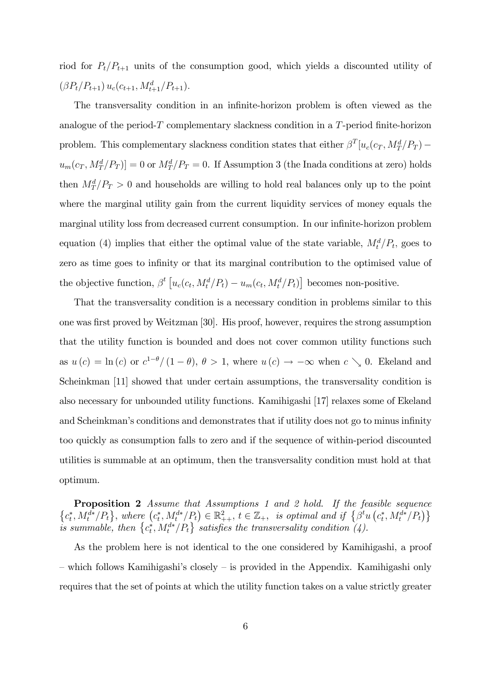riod for  $P_t/P_{t+1}$  units of the consumption good, which yields a discounted utility of  $(\beta P_t/P_{t+1}) u_c(c_{t+1}, M_{t+1}^d/P_{t+1}).$ 

The transversality condition in an infinite-horizon problem is often viewed as the analogue of the period- $T$  complementary slackness condition in a  $T$ -period finite-horizon problem. This complementary slackness condition states that either  $\beta^{T}[u_c(c_T, M_T^d/P_T)$  $u_m(c_T, M_T^d/P_T) = 0$  or  $M_T^d/P_T = 0$ . If Assumption 3 (the Inada conditions at zero) holds then  $M_T^d/P_T > 0$  and households are willing to hold real balances only up to the point where the marginal utility gain from the current liquidity services of money equals the marginal utility loss from decreased current consumption. In our infinite-horizon problem equation (4) implies that either the optimal value of the state variable,  $M_t^d/P_t$ , goes to zero as time goes to infinity or that its marginal contribution to the optimised value of the objective function,  $\beta^t \left[ u_c(c_t, M_t^d/P_t) - u_m(c_t, M_t^d/P_t) \right]$  becomes non-positive.

That the transversality condition is a necessary condition in problems similar to this one was first proved by Weitzman [30]. His proof, however, requires the strong assumption that the utility function is bounded and does not cover common utility functions such as  $u(c) = \ln(c)$  or  $c^{1-\theta}/(1-\theta)$ ,  $\theta > 1$ , where  $u(c) \to -\infty$  when  $c \searrow 0$ . Ekeland and Scheinkman [11] showed that under certain assumptions, the transversality condition is also necessary for unbounded utility functions. Kamihigashi [17] relaxes some of Ekeland and Scheinkman's conditions and demonstrates that if utility does not go to minus infinity too quickly as consumption falls to zero and if the sequence of within-period discounted utilities is summable at an optimum, then the transversality condition must hold at that optimum.

Proposition 2 Assume that Assumptions 1 and 2 hold. If the feasible sequence  $\{c_t^*, M_t^{d*}/P_t\}$ , where  $(c_t^*, M_t^{d*}/P_t) \in \mathbb{R}^2_{++}$ ,  $t \in \mathbb{Z}_+$ , is optimal and if  $\{\beta^t u (c_t^*, M_t^{d*}/P_t)\}$ is summable, then  $\{c_t^*, M_t^{d*}/P_t\}$  satisfies the transversality condition (4).

As the problem here is not identical to the one considered by Kamihigashi, a proof – which follows Kamihigashi's closely – is provided in the Appendix. Kamihigashi only requires that the set of points at which the utility function takes on a value strictly greater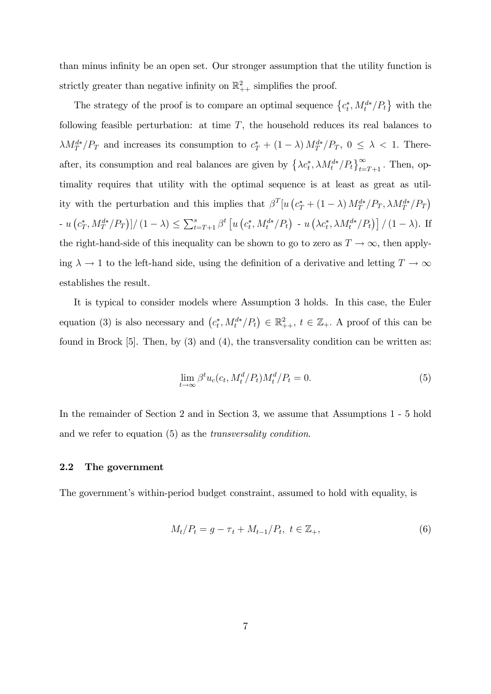than minus infinity be an open set. Our stronger assumption that the utility function is strictly greater than negative infinity on  $\mathbb{R}^2_{++}$  simplifies the proof.

The strategy of the proof is to compare an optimal sequence  $\{c_t^*, M_t^{d*}/P_t\}$  with the following feasible perturbation: at time  $T$ , the household reduces its real balances to  $\lambda M_T^{d*}/P_T$  and increases its consumption to  $c_T^* + (1 - \lambda) M_T^{d*}/P_T$ ,  $0 \leq \lambda < 1$ . Thereafter, its consumption and real balances are given by  $\{\lambda c_t^*, \lambda M_t^{d*}/P_t\}_{t=T+1}^{\infty}$ . Then, optimality requires that utility with the optimal sequence is at least as great as utility with the perturbation and this implies that  $\beta^T[u(c_T^* + (1 - \lambda) M_T^{d*}/P_T, \lambda M_T^{d*}/P_T)$ -  $u(c_T^*, M_T^{d*}/P_T)]/(1-\lambda) \leq \sum_{t=T+1}^s \beta^t \left[ u(c_t^*, M_t^{d*}/P_t) - u(\lambda c_t^*, \lambda M_t^{d*}/P_t) \right] / (1-\lambda)$ . If the right-hand-side of this inequality can be shown to go to zero as  $T \to \infty$ , then applying  $\lambda \to 1$  to the left-hand side, using the definition of a derivative and letting  $T \to \infty$ establishes the result.

It is typical to consider models where Assumption 3 holds. In this case, the Euler equation (3) is also necessary and  $(c_t^*, M_t^{d*}/P_t) \in \mathbb{R}^2_{++}$ ,  $t \in \mathbb{Z}_+$ . A proof of this can be found in Brock [5]. Then, by (3) and (4), the transversality condition can be written as:

$$
\lim_{t \to \infty} \beta^t u_c(c_t, M_t^d / P_t) M_t^d / P_t = 0.
$$
\n(5)

In the remainder of Section 2 and in Section 3, we assume that Assumptions 1 - 5 hold and we refer to equation (5) as the transversality condition.

### 2.2 The government

The government's within-period budget constraint, assumed to hold with equality, is

$$
M_t/P_t = g - \tau_t + M_{t-1}/P_t, \ t \in \mathbb{Z}_+, \tag{6}
$$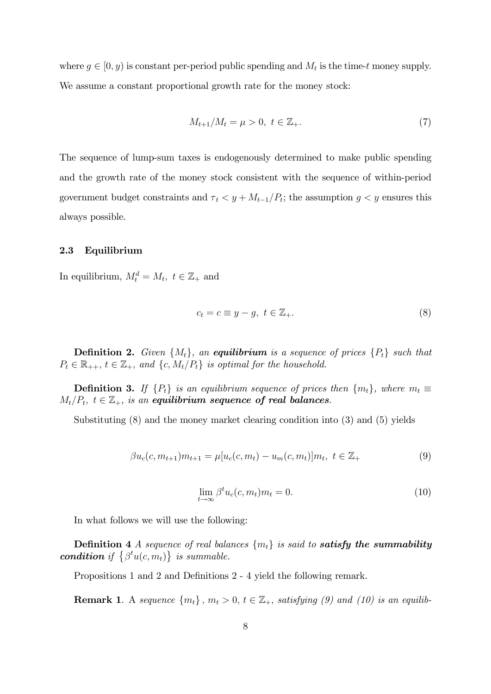where  $g \in [0, y)$  is constant per-period public spending and  $M_t$  is the time-t money supply. We assume a constant proportional growth rate for the money stock:

$$
M_{t+1}/M_t = \mu > 0, \ t \in \mathbb{Z}_+.
$$
 (7)

The sequence of lump-sum taxes is endogenously determined to make public spending and the growth rate of the money stock consistent with the sequence of within-period government budget constraints and  $\tau_t < y + M_{t-1}/P_t$ ; the assumption  $g < y$  ensures this always possible.

### 2.3 Equilibrium

In equilibrium,  $M_t^d = M_t$ ,  $t \in \mathbb{Z}_+$  and

$$
c_t = c \equiv y - g, \ t \in \mathbb{Z}_+.\tag{8}
$$

**Definition 2.** Given  $\{M_t\}$ , an **equilibrium** is a sequence of prices  $\{P_t\}$  such that  $P_t \in \mathbb{R}_{++}$ ,  $t \in \mathbb{Z}_+$ , and  $\{c, M_t/P_t\}$  is optimal for the household.

**Definition 3.** If  $\{P_t\}$  is an equilibrium sequence of prices then  $\{m_t\}$ , where  $m_t \equiv$  $M_t/P_t$ ,  $t \in \mathbb{Z}_+$ , is an equilibrium sequence of real balances.

Substituting (8) and the money market clearing condition into (3) and (5) yields

$$
\beta u_c(c, m_{t+1})m_{t+1} = \mu[u_c(c, m_t) - u_m(c, m_t)]m_t, \ t \in \mathbb{Z}_+ \tag{9}
$$

$$
\lim_{t \to \infty} \beta^t u_c(c, m_t) m_t = 0. \tag{10}
$$

In what follows we will use the following:

**Definition 4** A sequence of real balances  $\{m_t\}$  is said to **satisfy the summability** condition if  $\{\beta^t u(c, m_t)\}\$ is summable.

Propositions 1 and 2 and Definitions 2 - 4 yield the following remark.

**Remark 1.** A sequence  $\{m_t\}$ ,  $m_t > 0$ ,  $t \in \mathbb{Z}_+$ , satisfying (9) and (10) is an equilib-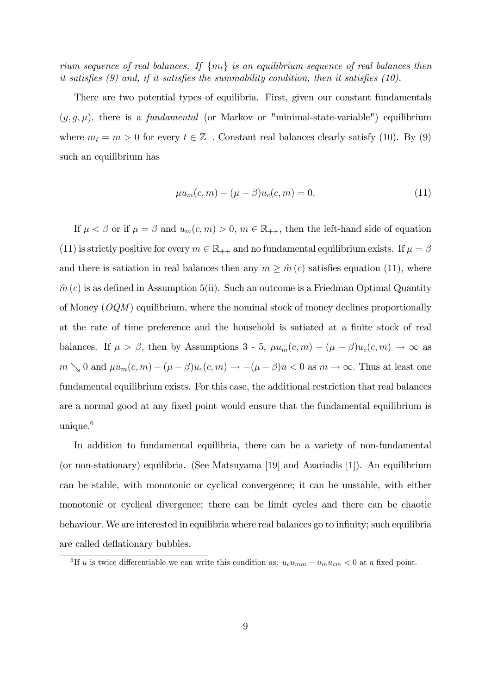rium sequence of real balances. If  $\{m_t\}$  is an equilibrium sequence of real balances then it satisfies  $(9)$  and, if it satisfies the summability condition, then it satisfies  $(10)$ .

There are two potential types of equilibria. First, given our constant fundamentals  $(y, g, \mu)$ , there is a *fundamental* (or Markov or "minimal-state-variable") equilibrium where  $m_t = m > 0$  for every  $t \in \mathbb{Z}_+$ . Constant real balances clearly satisfy (10). By (9) such an equilibrium has

$$
\mu u_m(c, m) - (\mu - \beta)u_c(c, m) = 0.
$$
 (11)

If  $\mu < \beta$  or if  $\mu = \beta$  and  $u_m(c, m) > 0$ ,  $m \in \mathbb{R}_{++}$ , then the left-hand side of equation (11) is strictly positive for every  $m \in \mathbb{R}_{++}$  and no fundamental equilibrium exists. If  $\mu = \beta$ and there is satiation in real balances then any  $m \geq \hat{m}(c)$  satisfies equation (11), where  $\hat{m}$  (c) is as defined in Assumption 5(ii). Such an outcome is a Friedman Optimal Quantity of Money  $(OQM)$  equilibrium, where the nominal stock of money declines proportionally at the rate of time preference and the household is satiated at a finite stock of real balances. If  $\mu > \beta$ , then by Assumptions 3 - 5,  $\mu u_m(c, m) - (\mu - \beta)u_c(c, m) \to \infty$  as  $m \searrow 0$  and  $\mu u_m(c, m) - (\mu - \beta)u_c(c, m) \rightarrow -(\mu - \beta)\bar{u} < 0$  as  $m \rightarrow \infty$ . Thus at least one fundamental equilibrium exists. For this case, the additional restriction that real balances are a normal good at any fixed point would ensure that the fundamental equilibrium is unique.<sup>6</sup>

In addition to fundamental equilibria, there can be a variety of non-fundamental (or non-stationary) equilibria. (See Matsuyama [19] and Azariadis [1]). An equilibrium can be stable, with monotonic or cyclical convergence; it can be unstable, with either monotonic or cyclical divergence; there can be limit cycles and there can be chaotic behaviour. We are interested in equilibria where real balances go to infinity; such equilibria are called deflationary bubbles.

<sup>&</sup>lt;sup>6</sup>If u is twice differentiable we can write this condition as:  $u_c u_{mm} - u_m u_{cm} < 0$  at a fixed point.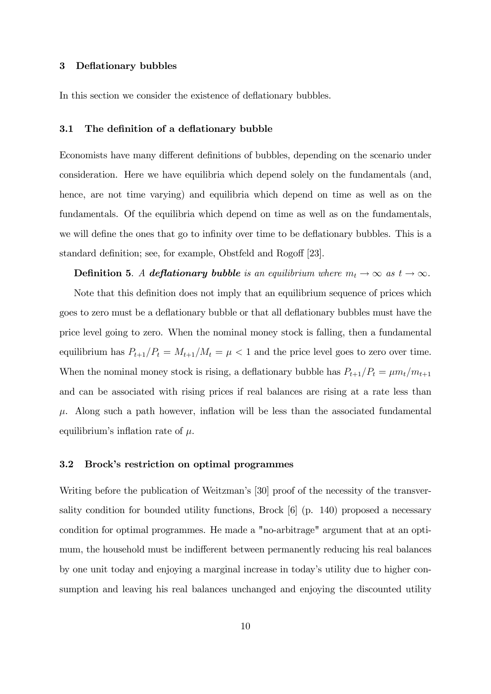### 3 Deflationary bubbles

In this section we consider the existence of deflationary bubbles.

### 3.1 The definition of a deflationary bubble

Economists have many different definitions of bubbles, depending on the scenario under consideration. Here we have equilibria which depend solely on the fundamentals (and, hence, are not time varying) and equilibria which depend on time as well as on the fundamentals. Of the equilibria which depend on time as well as on the fundamentals, we will define the ones that go to infinity over time to be deflationary bubbles. This is a standard definition; see, for example, Obstfeld and Rogoff [23].

**Definition 5.** A deflationary bubble is an equilibrium where  $m_t \to \infty$  as  $t \to \infty$ . Note that this definition does not imply that an equilibrium sequence of prices which goes to zero must be a deáationary bubble or that all deáationary bubbles must have the price level going to zero. When the nominal money stock is falling, then a fundamental equilibrium has  $P_{t+1}/P_t = M_{t+1}/M_t = \mu < 1$  and the price level goes to zero over time. When the nominal money stock is rising, a deflationary bubble has  $P_{t+1}/P_t = \mu m_t/m_{t+1}$ and can be associated with rising prices if real balances are rising at a rate less than  $\mu$ . Along such a path however, inflation will be less than the associated fundamental equilibrium's inflation rate of  $\mu$ .

### 3.2 Brock's restriction on optimal programmes

Writing before the publication of Weitzman's [30] proof of the necessity of the transversality condition for bounded utility functions, Brock [6] (p. 140) proposed a necessary condition for optimal programmes. He made a "no-arbitrage" argument that at an optimum, the household must be indifferent between permanently reducing his real balances by one unit today and enjoying a marginal increase in todayís utility due to higher consumption and leaving his real balances unchanged and enjoying the discounted utility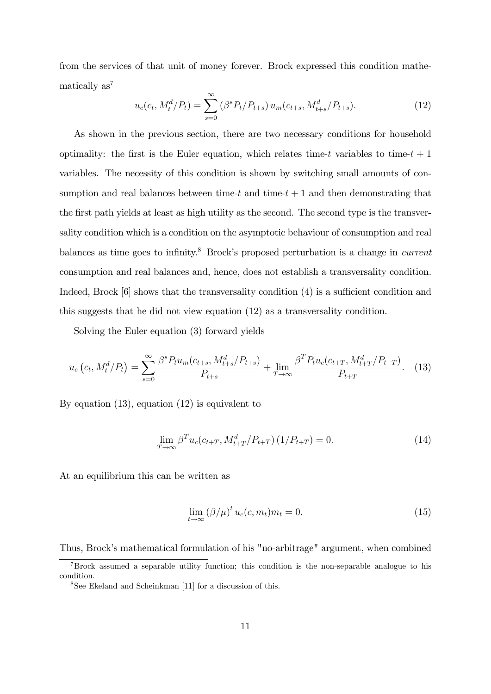from the services of that unit of money forever. Brock expressed this condition mathematically  $as^7$ 

$$
u_c(c_t, M_t^d/P_t) = \sum_{s=0}^{\infty} (\beta^s P_t/P_{t+s}) u_m(c_{t+s}, M_{t+s}^d/P_{t+s}).
$$
\n(12)

As shown in the previous section, there are two necessary conditions for household optimality: the first is the Euler equation, which relates time-t variables to time-t + 1 variables. The necessity of this condition is shown by switching small amounts of consumption and real balances between time-t and time- $t + 1$  and then demonstrating that the first path yields at least as high utility as the second. The second type is the transversality condition which is a condition on the asymptotic behaviour of consumption and real balances as time goes to infinity.<sup>8</sup> Brock's proposed perturbation is a change in *current* consumption and real balances and, hence, does not establish a transversality condition. Indeed, Brock  $[6]$  shows that the transversality condition  $(4)$  is a sufficient condition and this suggests that he did not view equation (12) as a transversality condition.

Solving the Euler equation (3) forward yields

$$
u_c\left(c_t, M_t^d/P_t\right) = \sum_{s=0}^{\infty} \frac{\beta^s P_t u_m(c_{t+s}, M_{t+s}^d/P_{t+s})}{P_{t+s}} + \lim_{T \to \infty} \frac{\beta^T P_t u_c(c_{t+T}, M_{t+T}^d/P_{t+T})}{P_{t+T}}.
$$
 (13)

By equation (13), equation (12) is equivalent to

$$
\lim_{T \to \infty} \beta^T u_c(c_{t+T}, M_{t+T}^d / P_{t+T}) (1 / P_{t+T}) = 0.
$$
\n(14)

At an equilibrium this can be written as

$$
\lim_{t \to \infty} (\beta/\mu)^t u_c(c, m_t) m_t = 0.
$$
\n(15)

Thus, Brock's mathematical formulation of his "no-arbitrage" argument, when combined

<sup>7</sup>Brock assumed a separable utility function; this condition is the non-separable analogue to his condition.

<sup>8</sup>See Ekeland and Scheinkman [11] for a discussion of this.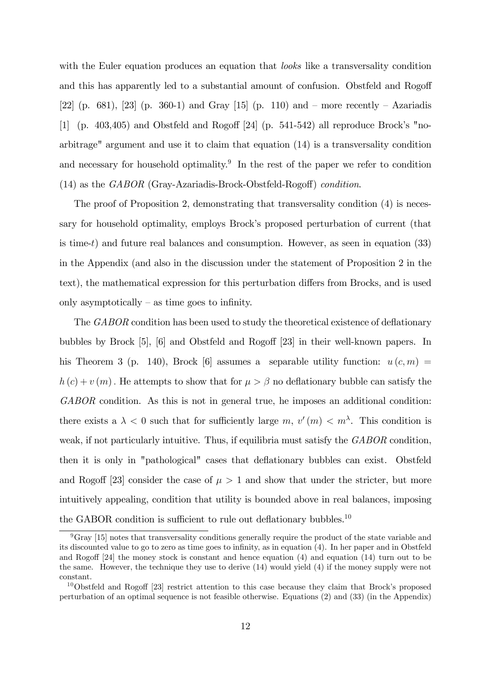with the Euler equation produces an equation that *looks* like a transversality condition and this has apparently led to a substantial amount of confusion. Obstfeld and Rogoff [22] (p. 681), [23] (p. 360-1) and Gray [15] (p. 110) and  $-$  more recently  $-$  Azariadis [1] (p. 403,405) and Obstfeld and Rogoff [24] (p. 541-542) all reproduce Brock's "noarbitrage" argument and use it to claim that equation (14) is a transversality condition and necessary for household optimality.<sup>9</sup> In the rest of the paper we refer to condition  $(14)$  as the GABOR (Gray-Azariadis-Brock-Obstfeld-Rogoff) condition.

The proof of Proposition 2, demonstrating that transversality condition (4) is necessary for household optimality, employs Brock's proposed perturbation of current (that is time-t) and future real balances and consumption. However, as seen in equation  $(33)$ in the Appendix (and also in the discussion under the statement of Proposition 2 in the text), the mathematical expression for this perturbation differs from Brocks, and is used only asymptotically  $-$  as time goes to infinity.

The GABOR condition has been used to study the theoretical existence of deflationary bubbles by Brock  $[5]$ ,  $[6]$  and Obstfeld and Rogoff  $[23]$  in their well-known papers. In his Theorem 3 (p. 140), Brock [6] assumes a separable utility function:  $u(c, m)$  =  $h(c) + v(m)$ . He attempts to show that for  $\mu > \beta$  no deflationary bubble can satisfy the GABOR condition. As this is not in general true, he imposes an additional condition: there exists a  $\lambda < 0$  such that for sufficiently large  $m, v'(m) < m^{\lambda}$ . This condition is weak, if not particularly intuitive. Thus, if equilibria must satisfy the GABOR condition, then it is only in "pathological" cases that deflationary bubbles can exist. Obstfeld and Rogoff [23] consider the case of  $\mu > 1$  and show that under the stricter, but more intuitively appealing, condition that utility is bounded above in real balances, imposing the GABOR condition is sufficient to rule out deflationary bubbles.<sup>10</sup>

 $9Gray [15]$  notes that transversality conditions generally require the product of the state variable and its discounted value to go to zero as time goes to infinity, as in equation (4). In her paper and in Obstfeld and Rogoff [24] the money stock is constant and hence equation  $(4)$  and equation  $(14)$  turn out to be the same. However, the technique they use to derive (14) would yield (4) if the money supply were not constant.

 $10$ Obstfeld and Rogoff [23] restrict attention to this case because they claim that Brock's proposed perturbation of an optimal sequence is not feasible otherwise. Equations (2) and (33) (in the Appendix)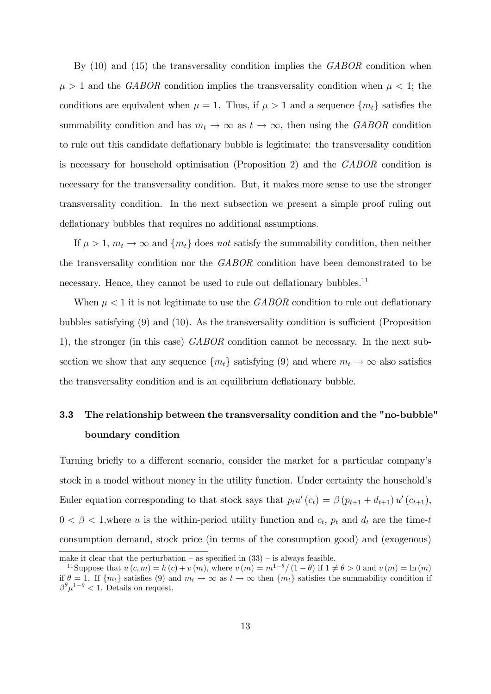By  $(10)$  and  $(15)$  the transversality condition implies the  $GABOR$  condition when  $\mu > 1$  and the GABOR condition implies the transversality condition when  $\mu < 1$ ; the conditions are equivalent when  $\mu = 1$ . Thus, if  $\mu > 1$  and a sequence  $\{m_t\}$  satisfies the summability condition and has  $m_t \to \infty$  as  $t \to \infty$ , then using the *GABOR* condition to rule out this candidate deflationary bubble is legitimate: the transversality condition is necessary for household optimisation (Proposition 2) and the GABOR condition is necessary for the transversality condition. But, it makes more sense to use the stronger transversality condition. In the next subsection we present a simple proof ruling out deflationary bubbles that requires no additional assumptions.

If  $\mu > 1$ ,  $m_t \to \infty$  and  $\{m_t\}$  does not satisfy the summability condition, then neither the transversality condition nor the GABOR condition have been demonstrated to be necessary. Hence, they cannot be used to rule out deflationary bubbles. $<sup>11</sup>$ </sup>

When  $\mu < 1$  it is not legitimate to use the GABOR condition to rule out deflationary bubbles satisfying  $(9)$  and  $(10)$ . As the transversality condition is sufficient (Proposition 1), the stronger (in this case) GABOR condition cannot be necessary. In the next subsection we show that any sequence  $\{m_t\}$  satisfying (9) and where  $m_t \to \infty$  also satisfies the transversality condition and is an equilibrium deflationary bubble.

# 3.3 The relationship between the transversality condition and the "no-bubble" boundary condition

Turning briefly to a different scenario, consider the market for a particular company's stock in a model without money in the utility function. Under certainty the household's Euler equation corresponding to that stock says that  $p_t u'(c_t) = \beta (p_{t+1} + d_{t+1}) u'(c_{t+1}),$  $0 < \beta < 1$ , where u is the within-period utility function and  $c_t$ ,  $p_t$  and  $d_t$  are the time-t consumption demand, stock price (in terms of the consumption good) and (exogenous)

make it clear that the perturbation – as specified in  $(33)$  – is always feasible.

<sup>&</sup>lt;sup>11</sup>Suppose that  $u(c, m) = h(c) + v(m)$ , where  $v(m) = m^{1-\theta}/(1-\theta)$  if  $1 \neq \theta > 0$  and  $v(m) = \ln(m)$ if  $\theta = 1$ . If  $\{m_t\}$  satisfies (9) and  $m_t \to \infty$  as  $t \to \infty$  then  $\{m_t\}$  satisfies the summability condition if  $\beta^{\theta} \mu^{1-\theta} < 1.$  Details on request.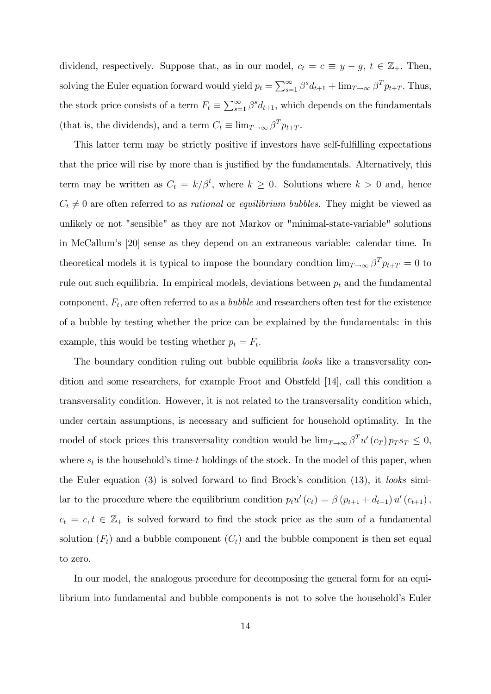dividend, respectively. Suppose that, as in our model,  $c_t = c \equiv y - g, t \in \mathbb{Z}_+$ . Then, solving the Euler equation forward would yield  $p_t = \sum_{s=1}^{\infty} \beta^s d_{t+1} + \lim_{T \to \infty} \beta^T p_{t+T}$ . Thus, the stock price consists of a term  $F_t \equiv \sum_{s=1}^{\infty} \beta^s d_{t+1}$ , which depends on the fundamentals (that is, the dividends), and a term  $C_t \equiv \lim_{T \to \infty} \beta^T p_{t+T}$ .

This latter term may be strictly positive if investors have self-fulfilling expectations that the price will rise by more than is justified by the fundamentals. Alternatively, this term may be written as  $C_t = k/\beta^t$ , where  $k \geq 0$ . Solutions where  $k > 0$  and, hence  $C_t \neq 0$  are often referred to as *rational* or *equilibrium bubbles*. They might be viewed as unlikely or not "sensible" as they are not Markov or "minimal-state-variable" solutions in McCallumís [20] sense as they depend on an extraneous variable: calendar time. In theoretical models it is typical to impose the boundary condtion  $\lim_{T\to\infty} \beta^T p_{t+T} = 0$  to rule out such equilibria. In empirical models, deviations between  $p_t$  and the fundamental component,  $F_t$ , are often referred to as a *bubble* and researchers often test for the existence of a bubble by testing whether the price can be explained by the fundamentals: in this example, this would be testing whether  $p_t = F_t$ .

The boundary condition ruling out bubble equilibria looks like a transversality condition and some researchers, for example Froot and Obstfeld [14], call this condition a transversality condition. However, it is not related to the transversality condition which, under certain assumptions, is necessary and sufficient for household optimality. In the model of stock prices this transversality condtion would be  $\lim_{T\to\infty} \beta^T u'(c_T) p_T s_T \leq 0$ , where  $s_t$  is the household's time-t holdings of the stock. In the model of this paper, when the Euler equation (3) is solved forward to find Brock's condition (13), it looks similar to the procedure where the equilibrium condition  $p_t u'(c_t) = \beta (p_{t+1} + d_{t+1}) u'(c_{t+1}),$  $c_t = c, t \in \mathbb{Z}_+$  is solved forward to find the stock price as the sum of a fundamental solution  $(F_t)$  and a bubble component  $(C_t)$  and the bubble component is then set equal to zero.

In our model, the analogous procedure for decomposing the general form for an equilibrium into fundamental and bubble components is not to solve the household's Euler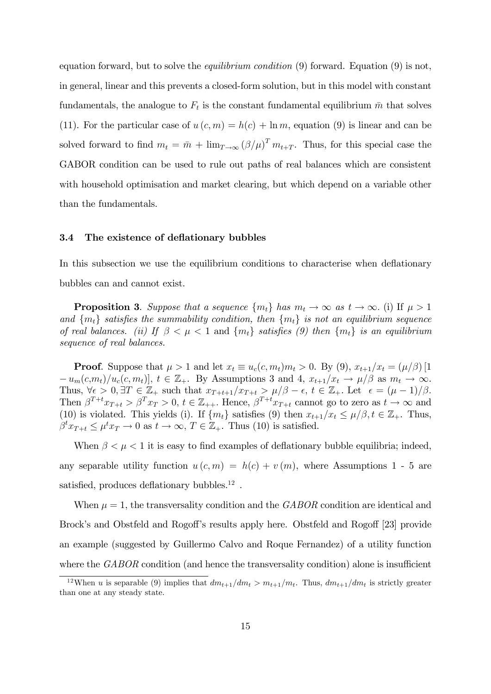equation forward, but to solve the *equilibrium condition*  $(9)$  forward. Equation  $(9)$  is not, in general, linear and this prevents a closed-form solution, but in this model with constant fundamentals, the analogue to  $F_t$  is the constant fundamental equilibrium  $\bar{m}$  that solves (11). For the particular case of  $u(c, m) = h(c) + \ln m$ , equation (9) is linear and can be solved forward to find  $m_t = \bar{m} + \lim_{T \to \infty} (\beta/\mu)^T m_{t+T}$ . Thus, for this special case the GABOR condition can be used to rule out paths of real balances which are consistent with household optimisation and market clearing, but which depend on a variable other than the fundamentals.

### 3.4 The existence of deflationary bubbles

In this subsection we use the equilibrium conditions to characterise when deflationary bubbles can and cannot exist.

**Proposition 3.** Suppose that a sequence  $\{m_t\}$  has  $m_t \to \infty$  as  $t \to \infty$ . (i) If  $\mu > 1$ : and  $\{m_t\}$  satisfies the summability condition, then  $\{m_t\}$  is not an equilibrium sequence of real balances. (ii) If  $\beta < \mu < 1$  and  $\{m_t\}$  satisfies (9) then  $\{m_t\}$  is an equilibrium sequence of real balances.

**Proof.** Suppose that  $\mu > 1$  and let  $x_t \equiv u_c(c, m_t)m_t > 0$ . By (9),  $x_{t+1}/x_t = (\mu/\beta)$  [1]  $-u_m(c,m_t)/u_c(c,m_t)], t \in \mathbb{Z}_+$ . By Assumptions 3 and 4,  $x_{t+1}/x_t \to \mu/\beta$  as  $m_t \to \infty$ . Thus,  $\forall \epsilon > 0, \exists T \in \mathbb{Z}_+$  such that  $x_{T+t+1}/x_{T+t} > \mu/\beta - \epsilon, t \in \mathbb{Z}_+$ . Let  $\epsilon = (\mu - 1)/\beta$ . Then  $\beta^{T+t} x_{T+t} > \beta^T x_T > 0$ ,  $t \in \mathbb{Z}_{++}$ . Hence,  $\beta^{T+t} x_{T+t}$  cannot go to zero as  $t \to \infty$  and (10) is violated. This yields (i). If  $\{m_t\}$  satisfies (9) then  $x_{t+1}/x_t \leq \mu/\beta, t \in \mathbb{Z}_+$ . Thus,  $\beta^t x_{T+t} \leq \mu^t x_T \to 0$  as  $t \to \infty$ ,  $T \in \mathbb{Z}_+$ . Thus (10) is satisfied.

When  $\beta < \mu < 1$  it is easy to find examples of deflationary bubble equilibria; indeed, any separable utility function  $u(c, m) = h(c) + v(m)$ , where Assumptions 1 - 5 are satisfied, produces deflationary bubbles.<sup>12</sup>.

When  $\mu = 1$ , the transversality condition and the *GABOR* condition are identical and Brock's and Obstfeld and Rogoff's results apply here. Obstfeld and Rogoff [23] provide an example (suggested by Guillermo Calvo and Roque Fernandez) of a utility function where the  $GABOR$  condition (and hence the transversality condition) alone is insufficient

<sup>&</sup>lt;sup>12</sup>When u is separable (9) implies that  $dm_{t+1}/dm_t > m_{t+1}/m_t$ . Thus,  $dm_{t+1}/dm_t$  is strictly greater than one at any steady state.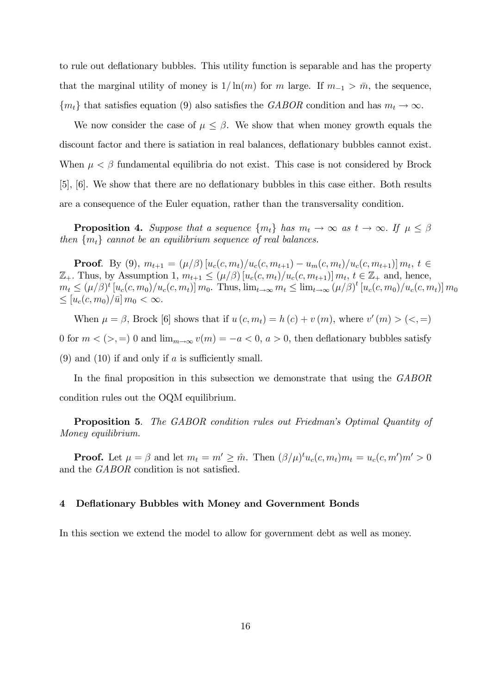to rule out deflationary bubbles. This utility function is separable and has the property that the marginal utility of money is  $1/\ln(m)$  for m large. If  $m_{-1} > \bar{m}$ , the sequence,  ${m_t}$  that satisfies equation (9) also satisfies the *GABOR* condition and has  $m_t \to \infty$ .

We now consider the case of  $\mu \leq \beta$ . We show that when money growth equals the discount factor and there is satiation in real balances, deflationary bubbles cannot exist. When  $\mu < \beta$  fundamental equilibria do not exist. This case is not considered by Brock [5], [6]. We show that there are no deflationary bubbles in this case either. Both results are a consequence of the Euler equation, rather than the transversality condition.

**Proposition 4.** Suppose that a sequence  $\{m_t\}$  has  $m_t \to \infty$  as  $t \to \infty$ . If  $\mu \leq \beta$ then  $\{m_t\}$  cannot be an equilibrium sequence of real balances.

**Proof.** By (9),  $m_{t+1} = (\mu/\beta) [u_c(c, m_t)/u_c(c, m_{t+1}) - u_m(c, m_t)/u_c(c, m_{t+1})] m_t$ ,  $t \in$  $\mathbb{Z}_+$ . Thus, by Assumption 1,  $m_{t+1} \leq (\mu/\beta) [u_c(c, m_t)/u_c(c, m_{t+1})] m_t$ ,  $t \in \mathbb{Z}_+$  and, hence,  $m_t \leq (\mu/\beta)^t [u_c(c, m_0)/u_c(c, m_t)] m_0$ . Thus,  $\lim_{t \to \infty} m_t \leq \lim_{t \to \infty} (\mu/\beta)^t [u_c(c, m_0)/u_c(c, m_t)] m_0$  $\leq [u_c(c, m_0)/\bar{u}] m_0 < \infty.$ 

When  $\mu = \beta$ , Brock [6] shows that if  $u(c, m_t) = h(c) + v(m)$ , where  $v'(m) > (<, =)$ 0 for  $m < (>, =) 0$  and  $\lim_{m\to\infty} v(m) = -a < 0$ ,  $a > 0$ , then deflationary bubbles satisfy  $(9)$  and  $(10)$  if and only if a is sufficiently small.

In the final proposition in this subsection we demonstrate that using the GABOR condition rules out the OQM equilibrium.

**Proposition 5.** The GABOR condition rules out Friedman's Optimal Quantity of Money equilibrium.

**Proof.** Let  $\mu = \beta$  and let  $m_t = m' \geq \hat{m}$ . Then  $(\beta/\mu)^t u_c(c, m_t) m_t = u_c(c, m')m' > 0$ and the GABOR condition is not satisfied.

### 4 Deflationary Bubbles with Money and Government Bonds

In this section we extend the model to allow for government debt as well as money.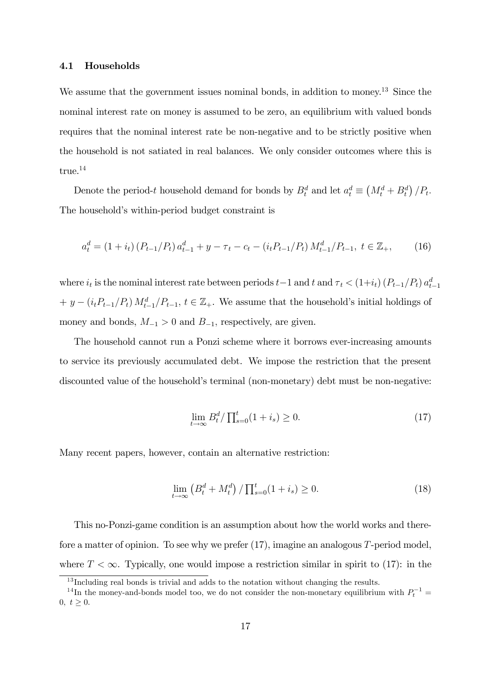### 4.1 Households

We assume that the government issues nominal bonds, in addition to money.<sup>13</sup> Since the nominal interest rate on money is assumed to be zero, an equilibrium with valued bonds requires that the nominal interest rate be non-negative and to be strictly positive when the household is not satiated in real balances. We only consider outcomes where this is true.<sup>14</sup>

Denote the period-t household demand for bonds by  $B_t^d$  and let  $a_t^d \equiv (M_t^d + B_t^d) / P_t$ . The household's within-period budget constraint is

$$
a_t^d = (1 + i_t) \left( P_{t-1}/P_t \right) a_{t-1}^d + y - \tau_t - c_t - \left( i_t P_{t-1}/P_t \right) M_{t-1}^d / P_{t-1}, \ t \in \mathbb{Z}_+, \tag{16}
$$

where  $i_t$  is the nominal interest rate between periods  $t-1$  and  $t$  and  $\tau_t < (1+i_t) (P_{t-1}/P_t) a_{t-1}^d$  $+ y - (i_t P_{t-1}/P_t) M_{t-1}^d/P_{t-1}, t \in \mathbb{Z}_+$ . We assume that the household's initial holdings of money and bonds,  $M_{-1} > 0$  and  $B_{-1}$ , respectively, are given.

The household cannot run a Ponzi scheme where it borrows ever-increasing amounts to service its previously accumulated debt. We impose the restriction that the present discounted value of the household's terminal (non-monetary) debt must be non-negative:

$$
\lim_{t \to \infty} B_t^d / \prod_{s=0}^t (1 + i_s) \ge 0.
$$
\n(17)

Many recent papers, however, contain an alternative restriction:

$$
\lim_{t \to \infty} \left( B_t^d + M_t^d \right) / \prod_{s=0}^t (1 + i_s) \ge 0. \tag{18}
$$

This no-Ponzi-game condition is an assumption about how the world works and therefore a matter of opinion. To see why we prefer (17), imagine an analogous T-period model, where  $T < \infty$ . Typically, one would impose a restriction similar in spirit to (17): in the

<sup>&</sup>lt;sup>13</sup> Including real bonds is trivial and adds to the notation without changing the results.

<sup>&</sup>lt;sup>14</sup>In the money-and-bonds model too, we do not consider the non-monetary equilibrium with  $P_t^{-1}$  =  $0, t \geq 0.$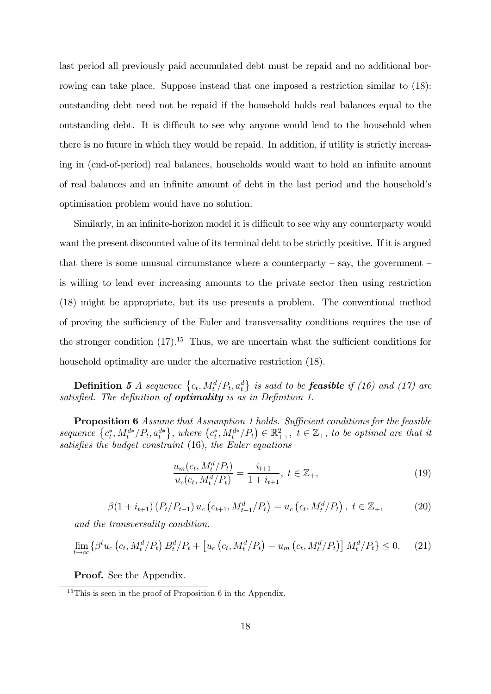last period all previously paid accumulated debt must be repaid and no additional borrowing can take place. Suppose instead that one imposed a restriction similar to (18): outstanding debt need not be repaid if the household holds real balances equal to the outstanding debt. It is difficult to see why anyone would lend to the household when there is no future in which they would be repaid. In addition, if utility is strictly increasing in (end-of-period) real balances, households would want to hold an infinite amount of real balances and an infinite amount of debt in the last period and the household's optimisation problem would have no solution.

Similarly, in an infinite-horizon model it is difficult to see why any counterparty would want the present discounted value of its terminal debt to be strictly positive. If it is argued that there is some unusual circumstance where a counterparty  $-$  say, the government  $$ is willing to lend ever increasing amounts to the private sector then using restriction (18) might be appropriate, but its use presents a problem. The conventional method of proving the sufficiency of the Euler and transversality conditions requires the use of the stronger condition  $(17)$ <sup>15</sup>. Thus, we are uncertain what the sufficient conditions for household optimality are under the alternative restriction  $(18)$ .

**Definition 5** A sequence  ${c_t, M_t^d/P_t, a_t^d}$  is said to be **feasible** if (16) and (17) are satisfied. The definition of **optimality** is as in Definition 1.

**Proposition 6** Assume that Assumption 1 holds. Sufficient conditions for the feasible sequence  $\{c_t^*, M_t^{d*}/P_t, a_t^{d*}\},$  where  $(c_t^*, M_t^{d*}/P_t) \in \mathbb{R}^2_{++}, t \in \mathbb{Z}_+$ , to be optimal are that it satisfies the budget constraint  $(16)$ , the Euler equations

$$
\frac{u_m(c_t, M_t^d/P_t)}{u_c(c_t, M_t^d/P_t)} = \frac{i_{t+1}}{1 + i_{t+1}}, \ t \in \mathbb{Z}_+, \tag{19}
$$

$$
\beta(1+i_{t+1})\left(P_t/P_{t+1}\right)u_c\left(c_{t+1}, M_{t+1}^d/P_t\right) = u_c\left(c_t, M_t^d/P_t\right), \ t \in \mathbb{Z}_+, \tag{20}
$$

and the transversality condition.

$$
\lim_{t \to \infty} \left\{ \beta^t u_c \left( c_t, M_t^d / P_t \right) B_t^d / P_t + \left[ u_c \left( c_t, M_t^d / P_t \right) - u_m \left( c_t, M_t^d / P_t \right) \right] M_t^d / P_t \right\} \le 0. \tag{21}
$$

Proof. See the Appendix.

 $15$ This is seen in the proof of Proposition 6 in the Appendix.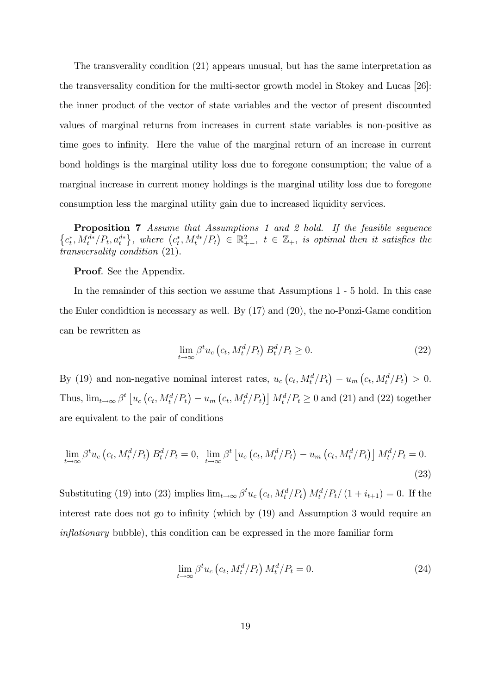The transverality condition (21) appears unusual, but has the same interpretation as the transversality condition for the multi-sector growth model in Stokey and Lucas [26]: the inner product of the vector of state variables and the vector of present discounted values of marginal returns from increases in current state variables is non-positive as time goes to infinity. Here the value of the marginal return of an increase in current bond holdings is the marginal utility loss due to foregone consumption; the value of a marginal increase in current money holdings is the marginal utility loss due to foregone consumption less the marginal utility gain due to increased liquidity services.

**Proposition 7** Assume that Assumptions 1 and 2 hold. If the feasible sequence  $\{c_t^*, M_t^{d*}/P_t, a_t^{d*}\},\$  where  $(c_t^*, M_t^{d*}/P_t) \in \mathbb{R}_{++}^2$ ,  $t \in \mathbb{Z}_+$ , is optimal then it satisfies the transversality condition (21).

**Proof.** See the Appendix.

In the remainder of this section we assume that Assumptions 1 - 5 hold. In this case the Euler condidtion is necessary as well. By (17) and (20), the no-Ponzi-Game condition can be rewritten as

$$
\lim_{t \to \infty} \beta^t u_c \left( c_t, M_t^d / P_t \right) B_t^d / P_t \ge 0.
$$
\n(22)

By (19) and non-negative nominal interest rates,  $u_c (c_t, M_t^d/P_t) - u_m (c_t, M_t^d/P_t) > 0$ . Thus,  $\lim_{t\to\infty} \beta^t \left[ u_c\left(c_t, M_t^d/P_t\right) - u_m\left(c_t, M_t^d/P_t\right) \right] M_t^d/P_t \ge 0$  and (21) and (22) together are equivalent to the pair of conditions

$$
\lim_{t \to \infty} \beta^t u_c \left( c_t, M_t^d / P_t \right) B_t^d / P_t = 0, \quad \lim_{t \to \infty} \beta^t \left[ u_c \left( c_t, M_t^d / P_t \right) - u_m \left( c_t, M_t^d / P_t \right) \right] M_t^d / P_t = 0. \tag{23}
$$

Substituting (19) into (23) implies  $\lim_{t\to\infty} \beta^t u_c (c_t, M_t^d/P_t) M_t^d/P_t/(1+i_{t+1}) = 0$ . If the interest rate does not go to infinity (which by  $(19)$  and Assumption 3 would require an  $inflationary$  bubble), this condition can be expressed in the more familiar form

$$
\lim_{t \to \infty} \beta^t u_c \left( c_t, M_t^d / P_t \right) M_t^d / P_t = 0.
$$
\n(24)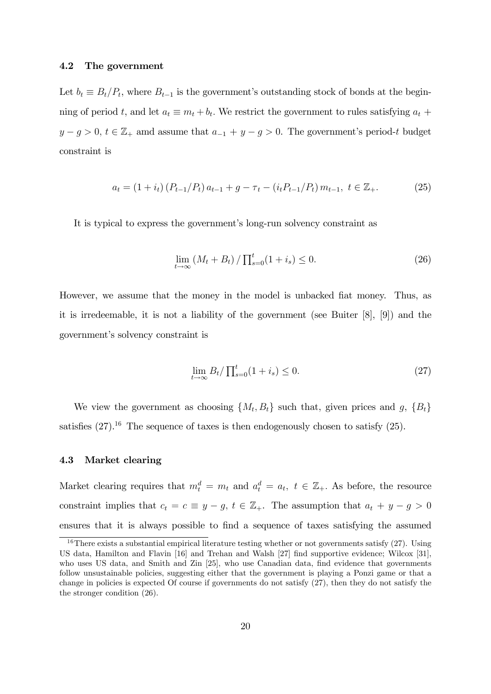### 4.2 The government

Let  $b_t \equiv B_t/P_t$ , where  $B_{t-1}$  is the government's outstanding stock of bonds at the beginning of period t, and let  $a_t \equiv m_t + b_t$ . We restrict the government to rules satisfying  $a_t$  +  $y - g > 0$ ,  $t \in \mathbb{Z}_+$  amd assume that  $a_{-1} + y - g > 0$ . The government's period-t budget constraint is

$$
a_{t} = (1 + i_{t}) \left( P_{t-1} / P_{t} \right) a_{t-1} + g - \tau_{t} - \left( i_{t} P_{t-1} / P_{t} \right) m_{t-1}, \ t \in \mathbb{Z}_{+}.
$$
 (25)

It is typical to express the government's long-run solvency constraint as

$$
\lim_{t \to \infty} (M_t + B_t) / \prod_{s=0}^t (1 + i_s) \le 0.
$$
\n(26)

However, we assume that the money in the model is unbacked fiat money. Thus, as it is irredeemable, it is not a liability of the government (see Buiter [8], [9]) and the governmentís solvency constraint is

$$
\lim_{t \to \infty} B_t / \prod_{s=0}^t (1 + i_s) \le 0. \tag{27}
$$

We view the government as choosing  $\{M_t, B_t\}$  such that, given prices and  $g, \{B_t\}$ satisfies  $(27).^{16}$  The sequence of taxes is then endogenously chosen to satisfy  $(25).$ 

#### 4.3 Market clearing

Market clearing requires that  $m_t^d = m_t$  and  $a_t^d = a_t$ ,  $t \in \mathbb{Z}_+$ . As before, the resource constraint implies that  $c_t = c \equiv y - g, t \in \mathbb{Z}_+$ . The assumption that  $a_t + y - g > 0$ ensures that it is always possible to find a sequence of taxes satisfying the assumed

<sup>&</sup>lt;sup>16</sup>There exists a substantial empirical literature testing whether or not governments satisfy  $(27)$ . Using US data, Hamilton and Flavin [16] and Trehan and Walsh [27] find supportive evidence; Wilcox [31], who uses US data, and Smith and Zin [25], who use Canadian data, find evidence that governments follow unsustainable policies, suggesting either that the government is playing a Ponzi game or that a change in policies is expected Of course if governments do not satisfy (27), then they do not satisfy the the stronger condition (26).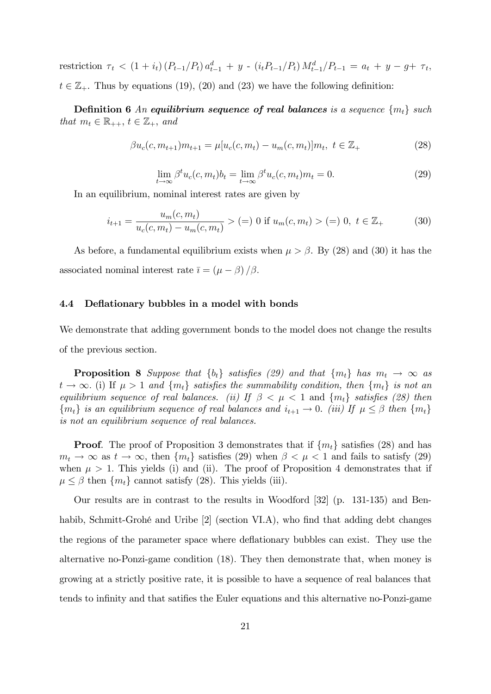restriction  $\tau_t$  <  $(1 + i_t) (P_{t-1}/P_t) a_{t-1}^d + y - (i_t P_{t-1}/P_t) M_{t-1}^d/P_{t-1} = a_t + y - g + \tau_t$  $t \in \mathbb{Z}_+$ . Thus by equations (19), (20) and (23) we have the following definition:

**Definition 6** An equilibrium sequence of real balances is a sequence  $\{m_t\}$  such that  $m_t \in \mathbb{R}_{++}$ ,  $t \in \mathbb{Z}_+$ , and

$$
\beta u_c(c, m_{t+1})m_{t+1} = \mu[u_c(c, m_t) - u_m(c, m_t)]m_t, \ t \in \mathbb{Z}_+ \tag{28}
$$

$$
\lim_{t \to \infty} \beta^t u_c(c, m_t) b_t = \lim_{t \to \infty} \beta^t u_c(c, m_t) m_t = 0.
$$
\n(29)

In an equilibrium, nominal interest rates are given by

$$
i_{t+1} = \frac{u_m(c, m_t)}{u_c(c, m_t) - u_m(c, m_t)} > (=) 0 \text{ if } u_m(c, m_t) > (=) 0, \ t \in \mathbb{Z}_+ \tag{30}
$$

As before, a fundamental equilibrium exists when  $\mu > \beta$ . By (28) and (30) it has the associated nominal interest rate  $\bar{\imath} = (\mu - \beta) / \beta$ .

### 4.4 Deflationary bubbles in a model with bonds

We demonstrate that adding government bonds to the model does not change the results of the previous section.

**Proposition 8** Suppose that  $\{b_t\}$  satisfies (29) and that  $\{m_t\}$  has  $m_t \to \infty$  as  $t \to \infty$ . (i) If  $\mu > 1$  and  $\{m_t\}$  satisfies the summability condition, then  $\{m_t\}$  is not an equilibrium sequence of real balances. (ii) If  $\beta < \mu < 1$  and  $\{m_t\}$  satisfies (28) then  ${m_t}$  is an equilibrium sequence of real balances and  $i_{t+1} \to 0$ . (iii) If  $\mu \leq \beta$  then  ${m_t}$ is not an equilibrium sequence of real balances.

**Proof.** The proof of Proposition 3 demonstrates that if  $\{m_t\}$  satisfies (28) and has  $m_t \to \infty$  as  $t \to \infty$ , then  $\{m_t\}$  satisfies (29) when  $\beta < \mu < 1$  and fails to satisfy (29) when  $\mu > 1$ . This yields (i) and (ii). The proof of Proposition 4 demonstrates that if  $\mu \leq \beta$  then  $\{m_t\}$  cannot satisfy (28). This yields (iii).

Our results are in contrast to the results in Woodford [32] (p. 131-135) and Benhabib, Schmitt-Grohé and Uribe  $[2]$  (section VI.A), who find that adding debt changes the regions of the parameter space where deflationary bubbles can exist. They use the alternative no-Ponzi-game condition (18): They then demonstrate that, when money is growing at a strictly positive rate, it is possible to have a sequence of real balances that tends to infinity and that satifies the Euler equations and this alternative no-Ponzi-game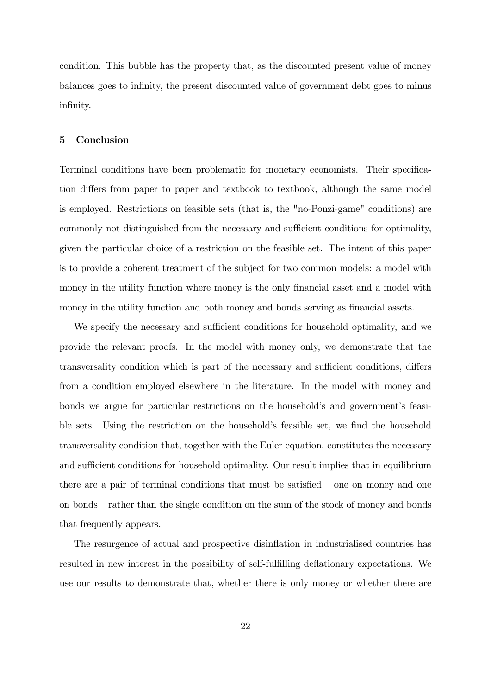condition. This bubble has the property that, as the discounted present value of money balances goes to infinity, the present discounted value of government debt goes to minus infinity.

### 5 Conclusion

Terminal conditions have been problematic for monetary economists. Their specification differs from paper to paper and textbook to textbook, although the same model is employed. Restrictions on feasible sets (that is, the "no-Ponzi-game" conditions) are commonly not distinguished from the necessary and sufficient conditions for optimality, given the particular choice of a restriction on the feasible set. The intent of this paper is to provide a coherent treatment of the subject for two common models: a model with money in the utility function where money is the only financial asset and a model with money in the utility function and both money and bonds serving as financial assets.

We specify the necessary and sufficient conditions for household optimality, and we provide the relevant proofs. In the model with money only, we demonstrate that the transversality condition which is part of the necessary and sufficient conditions, differs from a condition employed elsewhere in the literature. In the model with money and bonds we argue for particular restrictions on the household's and government's feasible sets. Using the restriction on the household's feasible set, we find the household transversality condition that, together with the Euler equation, constitutes the necessary and sufficient conditions for household optimality. Our result implies that in equilibrium there are a pair of terminal conditions that must be satisfied  $-$  one on money and one on bonds – rather than the single condition on the sum of the stock of money and bonds that frequently appears.

The resurgence of actual and prospective disinflation in industrialised countries has resulted in new interest in the possibility of self-fulfilling deflationary expectations. We use our results to demonstrate that, whether there is only money or whether there are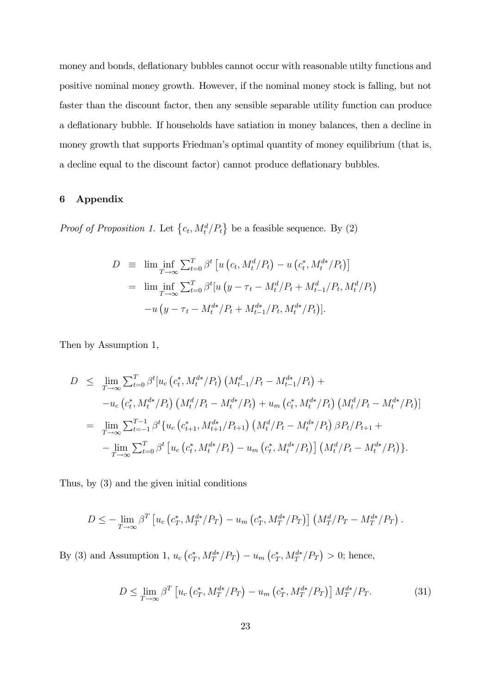money and bonds, deflationary bubbles cannot occur with reasonable utilty functions and positive nominal money growth. However, if the nominal money stock is falling, but not faster than the discount factor, then any sensible separable utility function can produce a deflationary bubble. If households have satiation in money balances, then a decline in money growth that supports Friedman's optimal quantity of money equilibrium (that is, a decline equal to the discount factor) cannot produce deflationary bubbles.

### 6 Appendix

*Proof of Proposition 1.* Let  $\{c_t, M_t^d/P_t\}$  be a feasible sequence. By (2)

$$
D \equiv \lim_{T \to \infty} \inf_{\mathcal{F}_{t=0}} \sum_{t=0}^{T} \beta^t \left[ u \left( c_t, M_t^d / P_t \right) - u \left( c_t^*, M_t^{d*} / P_t \right) \right]
$$
  
= 
$$
\lim_{T \to \infty} \inf_{\mathcal{F}_{t=0}} \sum_{t=0}^{T} \beta^t [ u \left( y - \tau_t - M_t^d / P_t + M_{t-1}^d / P_t, M_t^d / P_t \right) ]
$$
  
- 
$$
u \left( y - \tau_t - M_t^{d*} / P_t + M_{t-1}^{d*} / P_t, M_t^{d*} / P_t \right) ].
$$

Then by Assumption 1,

$$
D \leq \lim_{T \to \infty} \sum_{t=0}^{T} \beta^{t} [u_{c} (c_{t}^{*}, M_{t}^{d*} / P_{t}) (M_{t-1}^{d} / P_{t} - M_{t-1}^{d*} / P_{t}) +-u_{c} (c_{t}^{*}, M_{t}^{d*} / P_{t}) (M_{t}^{d} / P_{t} - M_{t}^{d*} / P_{t}) + u_{m} (c_{t}^{*}, M_{t}^{d*} / P_{t}) (M_{t}^{d} / P_{t} - M_{t}^{d*} / P_{t})]
$$
  
= 
$$
\lim_{T \to \infty} \sum_{t=-1}^{T-1} \beta^{t} \{ u_{c} (c_{t+1}^{*}, M_{t+1}^{d*} / P_{t+1}) (M_{t}^{d} / P_{t} - M_{t}^{d*} / P_{t}) \beta P_{t} / P_{t+1} +- \lim_{T \to \infty} \sum_{t=0}^{T} \beta^{t} [u_{c} (c_{t}^{*}, M_{t}^{d*} / P_{t}) - u_{m} (c_{t}^{*}, M_{t}^{d*} / P_{t}) ] (M_{t}^{d} / P_{t} - M_{t}^{d*} / P_{t}) \}.
$$

Thus, by (3) and the given initial conditions

$$
D \leq -\lim_{T \to \infty} \beta^T \left[ u_c \left( c_T^*, M_T^{d*} / P_T \right) - u_m \left( c_T^*, M_T^{d*} / P_T \right) \right] \left( M_T^{d} / P_T - M_T^{d*} / P_T \right).
$$

By (3) and Assumption 1,  $u_c$   $(c_T^*, M_T^{d*}/P_T) - u_m (c_T^*, M_T^{d*}/P_T) > 0$ ; hence,

$$
D \le \lim_{T \to \infty} \beta^T \left[ u_c \left( c_T^*, M_T^{d*} / P_T \right) - u_m \left( c_T^*, M_T^{d*} / P_T \right) \right] M_T^{d*} / P_T. \tag{31}
$$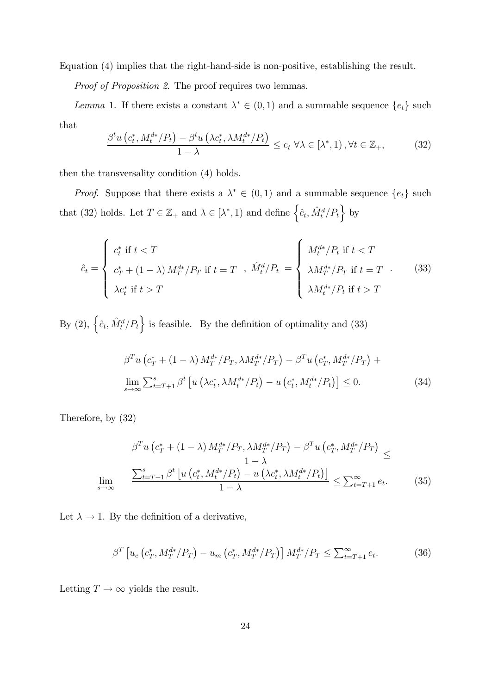Equation (4) implies that the right-hand-side is non-positive, establishing the result.

Proof of Proposition 2. The proof requires two lemmas.

Lemma 1. If there exists a constant  $\lambda^* \in (0,1)$  and a summable sequence  $\{e_t\}$  such that

$$
\frac{\beta^t u\left(c_t^*, M_t^{d*}/P_t\right) - \beta^t u\left(\lambda c_t^*, \lambda M_t^{d*}/P_t\right)}{1-\lambda} \le e_t \,\,\forall \lambda \in [\lambda^*, 1), \forall t \in \mathbb{Z}_+, \tag{32}
$$

then the transversality condition (4) holds.

*Proof.* Suppose that there exists a  $\lambda^* \in (0,1)$  and a summable sequence  $\{e_t\}$  such that (32) holds. Let  $T \in \mathbb{Z}_+$  and  $\lambda \in [\lambda^*, 1)$  and define  $\left\{\hat{c}_t, \hat{M}_t^d/P_t\right\}$  by

$$
\hat{c}_t = \begin{cases} c_t^* & \text{if } t < T \\ c_T^* + (1 - \lambda) M_T^{d*} / P_T & \text{if } t = T \\ \lambda c_t^* & \text{if } t > T \end{cases}, \quad \hat{M}_t^d / P_t = \begin{cases} M_t^{d*} / P_t & \text{if } t < T \\ \lambda M_T^{d*} / P_T & \text{if } t = T \\ \lambda M_t^{d*} / P_t & \text{if } t > T \end{cases} \tag{33}
$$

By (2),  $\left\{\hat{c}_t, \hat{M}_t^d/P_t\right\}$  is feasible. By the definition of optimality and (33)

$$
\beta^{T} u \left( c_{T}^{*} + (1 - \lambda) M_{T}^{d*} / P_{T}, \lambda M_{T}^{d*} / P_{T} \right) - \beta^{T} u \left( c_{T}^{*}, M_{T}^{d*} / P_{T} \right) + \lim_{s \to \infty} \sum_{t=T+1}^{s} \beta^{t} \left[ u \left( \lambda c_{t}^{*}, \lambda M_{t}^{d*} / P_{t} \right) - u \left( c_{t}^{*}, M_{t}^{d*} / P_{t} \right) \right] \leq 0. \tag{34}
$$

Therefore, by (32)

$$
\frac{\beta^T u \left(c_T^* + (1 - \lambda) M_T^{d*} / P_T, \lambda M_T^{d*} / P_T\right) - \beta^T u \left(c_T^*, M_T^{d*} / P_T\right)}{1 - \lambda} \le \lim_{s \to \infty} \frac{\sum_{t=T+1}^s \beta^t \left[u \left(c_t^*, M_t^{d*} / P_t\right) - u \left(\lambda c_t^*, \lambda M_t^{d*} / P_t\right)\right]}{1 - \lambda} \le \sum_{t=T+1}^\infty e_t. \tag{35}
$$

Let  $\lambda \to 1$ . By the definition of a derivative,

$$
\beta^T \left[ u_c \left( c_T^*, M_T^{d*} / P_T \right) - u_m \left( c_T^*, M_T^{d*} / P_T \right) \right] M_T^{d*} / P_T \le \sum_{t=T+1}^{\infty} e_t.
$$
 (36)

Letting  $T \rightarrow \infty$  yields the result.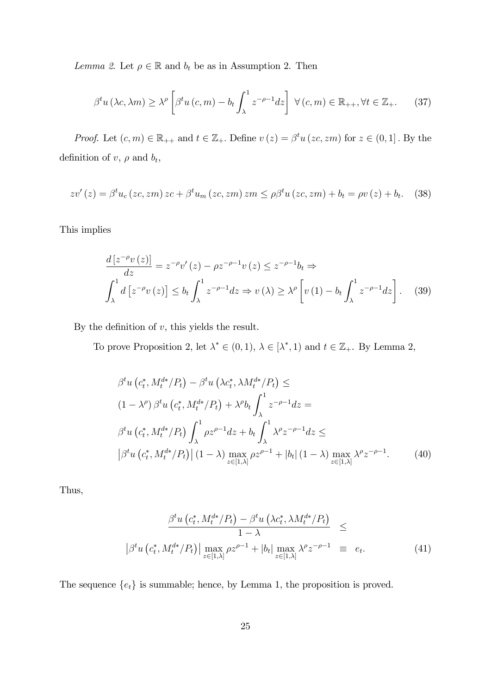Lemma 2. Let  $\rho \in \mathbb{R}$  and  $b_t$  be as in Assumption 2. Then

$$
\beta^{t}u(\lambda c, \lambda m) \geq \lambda^{\rho} \left[ \beta^{t}u(c, m) - b_{t} \int_{\lambda}^{1} z^{-\rho - 1} dz \right] \ \forall (c, m) \in \mathbb{R}_{++}, \forall t \in \mathbb{Z}_{+}.
$$
 (37)

*Proof.* Let  $(c, m) \in \mathbb{R}_{++}$  and  $t \in \mathbb{Z}_+$ . Define  $v(z) = \beta^t u(zc, zm)$  for  $z \in (0, 1]$ . By the definition of  $v, \rho$  and  $b_t$ ,

$$
zv'(z) = \beta^t u_c(zc, zm) zc + \beta^t u_m(zc, zm) zm \leq \beta^t u(zc, zm) + b_t = \rho v(z) + b_t. \tag{38}
$$

This implies

$$
\frac{d\left[z^{-\rho}v\left(z\right)\right]}{dz} = z^{-\rho}v'\left(z\right) - \rho z^{-\rho-1}v\left(z\right) \leq z^{-\rho-1}b_t \Rightarrow
$$
\n
$$
\int_{\lambda}^{1} d\left[z^{-\rho}v\left(z\right)\right] \leq b_t \int_{\lambda}^{1} z^{-\rho-1} dz \Rightarrow v\left(\lambda\right) \geq \lambda^{\rho} \left[v\left(1\right) - b_t \int_{\lambda}^{1} z^{-\rho-1} dz\right]. \tag{39}
$$

By the definition of  $v$ , this yields the result.

To prove Proposition 2, let  $\lambda^* \in (0,1)$ ,  $\lambda \in [\lambda^*, 1)$  and  $t \in \mathbb{Z}_+$ . By Lemma 2,

$$
\beta^{t}u\left(c_{t}^{*}, M_{t}^{d*}/P_{t}\right) - \beta^{t}u\left(\lambda c_{t}^{*}, \lambda M_{t}^{d*}/P_{t}\right) \le
$$
\n
$$
(1 - \lambda^{\rho})\beta^{t}u\left(c_{t}^{*}, M_{t}^{d*}/P_{t}\right) + \lambda^{\rho}b_{t}\int_{\lambda}^{1} z^{-\rho-1}dz =
$$
\n
$$
\beta^{t}u\left(c_{t}^{*}, M_{t}^{d*}/P_{t}\right)\int_{\lambda}^{1} \rho z^{\rho-1}dz + b_{t}\int_{\lambda}^{1} \lambda^{\rho} z^{-\rho-1}dz \le
$$
\n
$$
\left|\beta^{t}u\left(c_{t}^{*}, M_{t}^{d*}/P_{t}\right)\right|\left(1 - \lambda\right)\max_{z \in [1,\lambda]} \rho z^{\rho-1} + \left|b_{t}\right|\left(1 - \lambda\right)\max_{z \in [1,\lambda]} \lambda^{\rho} z^{-\rho-1}.
$$
\n
$$
(40)
$$

Thus,

$$
\frac{\beta^t u\left(c_t^*, M_t^{d*}/P_t\right) - \beta^t u\left(\lambda c_t^*, \lambda M_t^{d*}/P_t\right)}{1-\lambda} \leq
$$
\n
$$
|\beta^t u\left(c_t^*, M_t^{d*}/P_t\right)| \max_{z \in [1,\lambda]} \rho z^{\rho-1} + |b_t| \max_{z \in [1,\lambda]} \lambda^{\rho} z^{-\rho-1} \equiv e_t. \tag{41}
$$

The sequence  $\{e_t\}$  is summable; hence, by Lemma 1, the proposition is proved.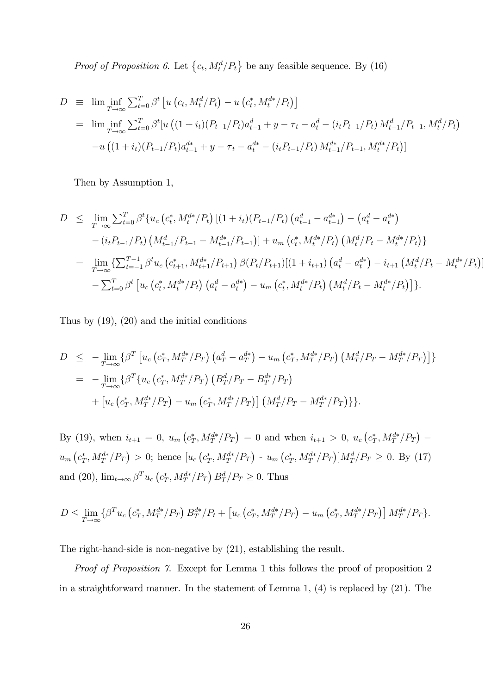*Proof of Proposition 6.* Let  $\{c_t, M_t^d/P_t\}$  be any feasible sequence. By (16)

$$
D \equiv \lim_{T \to \infty} \inf_{\mathcal{F}_{t=0}} \sum_{t=0}^{T} \beta^{t} \left[ u \left( c_{t}, M_{t}^{d} / P_{t} \right) - u \left( c_{t}^{*}, M_{t}^{d*} / P_{t} \right) \right]
$$
  
\n
$$
= \lim_{T \to \infty} \inf_{\mathcal{F}_{t=0}} \sum_{t=0}^{T} \beta^{t} \left[ u \left( (1 + i_{t}) (P_{t-1} / P_{t}) a_{t-1}^{d} + y - \tau_{t} - a_{t}^{d} - (i_{t} P_{t-1} / P_{t}) M_{t-1}^{d} / P_{t-1}, M_{t}^{d} / P_{t} \right) \right]
$$
  
\n
$$
-u \left( (1 + i_{t}) (P_{t-1} / P_{t}) a_{t-1}^{d*} + y - \tau_{t} - a_{t}^{d*} - (i_{t} P_{t-1} / P_{t}) M_{t-1}^{d*} / P_{t-1}, M_{t}^{d*} / P_{t} \right) \right]
$$

Then by Assumption 1,

$$
D \leq \lim_{T \to \infty} \sum_{t=0}^{T} \beta^{t} \{ u_{c} \left( c_{t}^{*}, M_{t}^{d*} / P_{t} \right) \left[ (1 + i_{t}) \left( P_{t-1} / P_{t} \right) \left( a_{t-1}^{d} - a_{t-1}^{d*} \right) - \left( a_{t}^{d} - a_{t}^{d*} \right) \right] \newline - \left( i_{t} P_{t-1} / P_{t} \right) \left( M_{t-1}^{d} / P_{t-1} - M_{t-1}^{d*} / P_{t-1} \right) \right] + u_{m} \left( c_{t}^{*}, M_{t}^{d*} / P_{t} \right) \left( M_{t}^{d} / P_{t} - M_{t}^{d*} / P_{t} \right) \rbrace
$$
\n
$$
= \lim_{T \to \infty} \{ \sum_{t=-1}^{T-1} \beta^{t} u_{c} \left( c_{t+1}^{*}, M_{t+1}^{d*} / P_{t+1} \right) \beta (P_{t} / P_{t+1}) \left[ (1 + i_{t+1}) \left( a_{t}^{d} - a_{t}^{d*} \right) - i_{t+1} \left( M_{t}^{d} / P_{t} - M_{t}^{d*} / P_{t} \right) \right] \newline - \sum_{t=0}^{T} \beta^{t} \left[ u_{c} \left( c_{t}^{*}, M_{t}^{d*} / P_{t} \right) \left( a_{t}^{d} - a_{t}^{d*} \right) - u_{m} \left( c_{t}^{*}, M_{t}^{d*} / P_{t} \right) \left( M_{t}^{d} / P_{t} - M_{t}^{d*} / P_{t} \right) \right] \}.
$$

Thus by (19), (20) and the initial conditions

$$
D \leq -\lim_{T \to \infty} \{ \beta^T \left[ u_c \left( c_T^*, M_T^{d*} / P_T \right) \left( a_T^d - a_T^{d*} \right) - u_m \left( c_T^*, M_T^{d*} / P_T \right) \left( M_T^{d} / P_T - M_T^{d*} / P_T \right) \right] \}
$$
  
\n
$$
= -\lim_{T \to \infty} \{ \beta^T \{ u_c \left( c_T^*, M_T^{d*} / P_T \right) \left( B_T^{d} / P_T - B_T^{d*} / P_T \right) \}
$$
  
\n
$$
+ \left[ u_c \left( c_T^*, M_T^{d*} / P_T \right) - u_m \left( c_T^*, M_T^{d*} / P_T \right) \right] \left( M_T^{d} / P_T - M_T^{d*} / P_T \right) \} \}.
$$

By (19), when  $i_{t+1} = 0$ ,  $u_m (c_T^*, M_T^{d*}/P_T) = 0$  and when  $i_{t+1} > 0$ ,  $u_c (c_T^*, M_T^{d*}/P_T)$   $u_m\left(c_T^*, M_T^{d*}/P_T\right) > 0$ ; hence  $[u_c\left(c_T^*, M_T^{d*}/P_T\right) - u_m\left(c_T^*, M_T^{d*}/P_T\right)]M_T^{d}/P_T \ge 0$ . By (17) and (20),  $\lim_{t \to \infty} \beta^T u_c \left( c_T^*, M_T^{d*} / P_T \right) B_T^d / P_T \geq 0$ . Thus

$$
D \leq \lim_{T \to \infty} \{ \beta^T u_c \left( c_T^*, M_T^{d*} / P_T \right) B_T^{d*} / P_t + \left[ u_c \left( c_T^*, M_T^{d*} / P_T \right) - u_m \left( c_T^*, M_T^{d*} / P_T \right) \right] M_T^{d*} / P_T \}.
$$

The right-hand-side is non-negative by (21), establishing the result.

Proof of Proposition 7. Except for Lemma 1 this follows the proof of proposition 2 in a straightforward manner. In the statement of Lemma 1, (4) is replaced by (21). The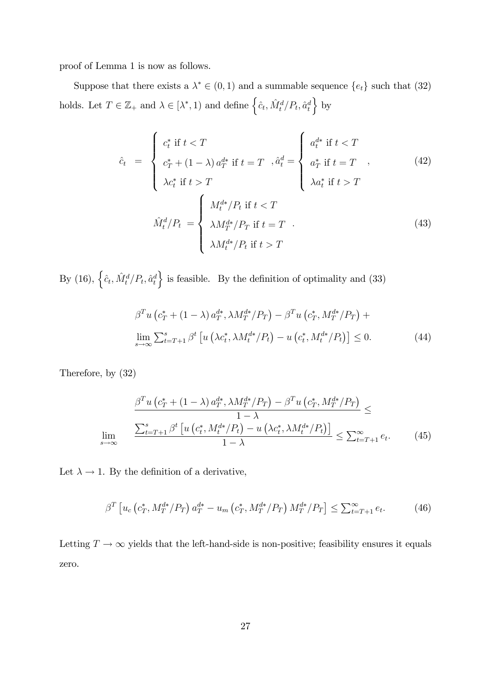proof of Lemma 1 is now as follows.

Suppose that there exists a  $\lambda^* \in (0,1)$  and a summable sequence  $\{e_t\}$  such that  $(32)$ holds. Let  $T \in \mathbb{Z}_+$  and  $\lambda \in [\lambda^*, 1)$  and define  $\left\{\hat{c}_t, \hat{M}_t^d/P_t, \hat{a}_t^d\right\}$  $\Big\}$  by

$$
\hat{c}_t = \begin{cases}\nc_t^* \text{ if } t < T \\
c_T^* + (1 - \lambda) a_T^{d*} \text{ if } t = T, \ \hat{a}_t^d = \begin{cases}\na_t^{d*} \text{ if } t < T \\
a_T^* \text{ if } t = T, \\
\lambda c_t^* \text{ if } t > T\n\end{cases} \quad (42)
$$
\n
$$
\lambda c_t^* \text{ if } t > T
$$
\n
$$
\hat{M}_t^d / P_t = \begin{cases}\nM_t^{d*} / P_t \text{ if } t < T \\
\lambda M_T^{d*} / P_T \text{ if } t = T, \\
\lambda M_t^{d*} / P_t \text{ if } t > T\n\end{cases} \quad (43)
$$

By (16),  $\left\{\hat{c}_t, \hat{M}_t^d/P_t, \hat{a}_t^d\right\}$  $\}$  is feasible. By the definition of optimality and  $(33)$ 

$$
\beta^{T} u \left( c_{T}^{*} + (1 - \lambda) a_{T}^{d*}, \lambda M_{T}^{d*} / P_{T} \right) - \beta^{T} u \left( c_{T}^{*}, M_{T}^{d*} / P_{T} \right) + \lim_{s \to \infty} \sum_{t=T+1}^{s} \beta^{t} \left[ u \left( \lambda c_{t}^{*}, \lambda M_{t}^{d*} / P_{t} \right) - u \left( c_{t}^{*}, M_{t}^{d*} / P_{t} \right) \right] \leq 0. \tag{44}
$$

Therefore, by (32)

$$
\frac{\beta^T u \left(c_T^* + (1 - \lambda) a_T^{d*}, \lambda M_T^{d*} / P_T\right) - \beta^T u \left(c_T^*, M_T^{d*} / P_T\right)}{1 - \lambda} \le \lim_{s \to \infty} \frac{\sum_{t=T+1}^s \beta^t \left[u \left(c_t^*, M_t^{d*} / P_t\right) - u \left(\lambda c_t^*, \lambda M_t^{d*} / P_t\right)\right]}{1 - \lambda} \le \sum_{t=T+1}^\infty e_t. \tag{45}
$$

Let  $\lambda \to 1$ . By the definition of a derivative,

$$
\beta^T \left[ u_c \left( c_T^*, M_T^{d*} / P_T \right) a_T^{d*} - u_m \left( c_T^*, M_T^{d*} / P_T \right) M_T^{d*} / P_T \right] \le \sum_{t=T+1}^{\infty} e_t.
$$
 (46)

Letting  $T \to \infty$  yields that the left-hand-side is non-positive; feasibility ensures it equals zero.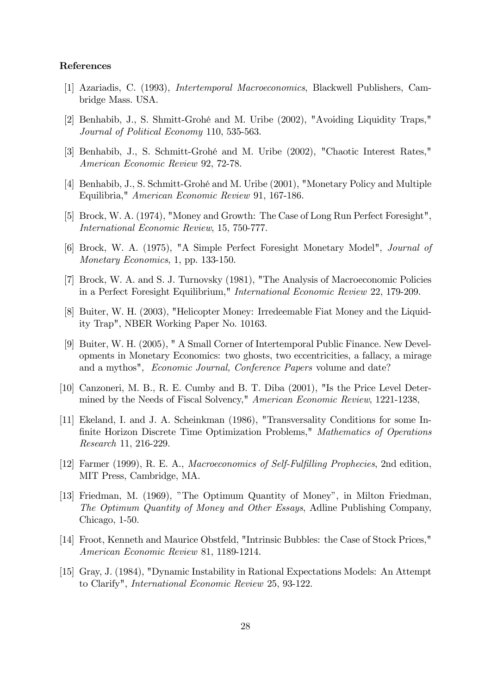### References

- [1] Azariadis, C. (1993), Intertemporal Macroeconomics, Blackwell Publishers, Cambridge Mass. USA.
- [2] Benhabib, J., S. Shmitt-GrohÈ and M. Uribe (2002), "Avoiding Liquidity Traps," Journal of Political Economy 110, 535-563.
- [3] Benhabib, J., S. Schmitt-Grohé and M. Uribe (2002), "Chaotic Interest Rates," American Economic Review 92, 72-78.
- [4] Benhabib, J., S. Schmitt-Grohé and M. Uribe (2001), "Monetary Policy and Multiple Equilibria," American Economic Review 91, 167-186.
- [5] Brock, W. A. (1974), "Money and Growth: The Case of Long Run Perfect Foresight", International Economic Review, 15, 750-777.
- [6] Brock, W. A. (1975), "A Simple Perfect Foresight Monetary Model", Journal of Monetary Economics, 1, pp. 133-150.
- [7] Brock, W. A. and S. J. Turnovsky (1981), "The Analysis of Macroeconomic Policies in a Perfect Foresight Equilibrium," International Economic Review 22, 179-209.
- [8] Buiter, W. H. (2003), "Helicopter Money: Irredeemable Fiat Money and the Liquidity Trap", NBER Working Paper No. 10163.
- [9] Buiter, W. H. (2005), " A Small Corner of Intertemporal Public Finance. New Developments in Monetary Economics: two ghosts, two eccentricities, a fallacy, a mirage and a mythos", Economic Journal, Conference Papers volume and date?
- [10] Canzoneri, M. B., R. E. Cumby and B. T. Diba (2001), "Is the Price Level Determined by the Needs of Fiscal Solvency," American Economic Review, 1221-1238,
- [11] Ekeland, I. and J. A. Scheinkman (1986), "Transversality Conditions for some Infinite Horizon Discrete Time Optimization Problems," Mathematics of Operations Research 11, 216-229.
- [12] Farmer (1999), R. E. A., Macroeconomics of Self-Fulfilling Prophecies, 2nd edition, MIT Press, Cambridge, MA.
- [13] Friedman, M. (1969), "The Optimum Quantity of Money", in Milton Friedman, The Optimum Quantity of Money and Other Essays, Adline Publishing Company, Chicago, 1-50.
- [14] Froot, Kenneth and Maurice Obstfeld, "Intrinsic Bubbles: the Case of Stock Prices," American Economic Review 81, 1189-1214.
- [15] Gray, J. (1984), "Dynamic Instability in Rational Expectations Models: An Attempt to Clarify", International Economic Review 25, 93-122.